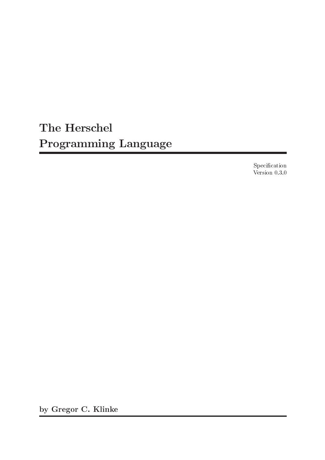# The Herschel Programming Language

Specification Version 0.3.0

by Gregor C. Klinke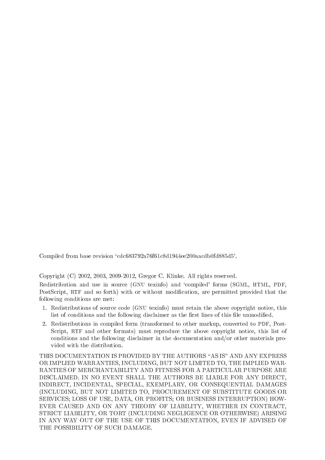Compiled from base revision 'cdc683792a76f61c8d1944ee200aacdb0fd885d5'.

Copyright (C) 2002, 2003, 2009-2012, Gregor C. Klinke. All rights reserved.

Redistribution and use in source (GNU texinfo) and 'compiled' forms (SGML, HTML, PDF, PostScript, RTF and so forth) with or without modification, are permitted provided that the following conditions are met:

- 1. Redistributions of source code (GNU texinfo) must retain the above copyright notice, this list of conditions and the following disclaimer as the first lines of this file unmodified.
- 2. Redistributions in compiled form (transformed to other markup, converted to PDF, Post-Script, RTF and other formats) must reproduce the above copyright notice, this list of conditions and the following disclaimer in the documentation and/or other materials provided with the distribution.

THIS DOCUMENTATION IS PROVIDED BY THE AUTHORS "AS IS" AND ANY EXPRESS OR IMPLIED WARRANTIES, INCLUDING, BUT NOT LIMITED TO, THE IMPLIED WAR-RANTIES OF MERCHANTABILITY AND FITNESS FOR A PARTICULAR PURPOSE ARE DISCLAIMED. IN NO EVENT SHALL THE AUTHORS BE LIABLE FOR ANY DIRECT, INDIRECT, INCIDENTAL, SPECIAL, EXEMPLARY, OR CONSEQUENTIAL DAMAGES (INCLUDING, BUT NOT LIMITED TO, PROCUREMENT OF SUBSTITUTE GOODS OR SERVICES; LOSS OF USE, DATA, OR PROFITS; OR BUSINESS INTERRUPTION) HOW-EVER CAUSED AND ON ANY THEORY OF LIABILITY, WHETHER IN CONTRACT, STRICT LIABILITY, OR TORT (INCLUDING NEGLIGENCE OR OTHERWISE) ARISING IN ANY WAY OUT OF THE USE OF THIS DOCUMENTATION, EVEN IF ADVISED OF THE POSSIBILITY OF SUCH DAMAGE.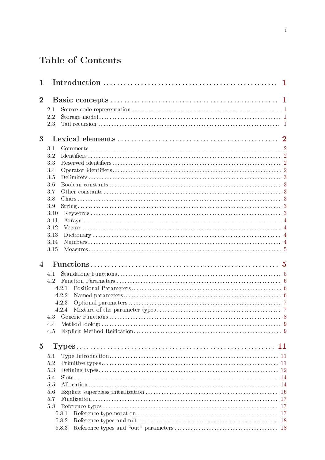# Table of Contents

| 1              |            |  |
|----------------|------------|--|
| $\overline{2}$ |            |  |
|                |            |  |
|                | 2.1<br>2.2 |  |
|                | 2.3        |  |
|                |            |  |
| 3              |            |  |
|                | 3.1        |  |
|                | 3.2        |  |
|                | 3.3        |  |
|                | 3.4        |  |
|                | 3.5        |  |
|                | 3.6        |  |
|                | 3.7        |  |
|                | 3.8        |  |
|                | 3.9        |  |
|                | 3.10       |  |
|                | 3.11       |  |
|                | 3.12       |  |
|                | 3.13       |  |
|                | 3.14       |  |
|                | 3.15       |  |
| 4              |            |  |
|                | 4.1        |  |
|                | 4.2        |  |
|                | 4.2.1      |  |
|                | 4.2.2      |  |
|                | 4.2.3      |  |
|                | 4.2.4      |  |
|                |            |  |
|                | 4.4        |  |
|                | 4.5        |  |
|                |            |  |
| $\overline{5}$ |            |  |
|                | 5.1        |  |
|                | 5.2        |  |
|                | 5.3        |  |
|                | 5.4        |  |
|                | 5.5        |  |
|                | 5.6        |  |
|                | 5.7        |  |
|                | 5.8        |  |
|                | 5.8.1      |  |
|                | 5.8.2      |  |
|                | 5.8.3      |  |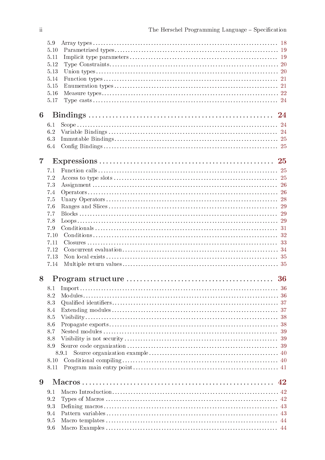|                | 5.9<br>5.10<br>5.11<br>5.12<br>5.13<br>5.14<br>5.15<br>5.16<br>5.17 |       |    |
|----------------|---------------------------------------------------------------------|-------|----|
| 6              |                                                                     |       |    |
|                | 6.1                                                                 |       |    |
|                | 6.2                                                                 |       |    |
|                | 6.3                                                                 |       |    |
|                | 6.4                                                                 |       |    |
| $\overline{7}$ |                                                                     |       |    |
|                | 7.1                                                                 |       |    |
|                | 7.2                                                                 |       |    |
|                | 7.3                                                                 |       |    |
|                | 7.4                                                                 |       |    |
|                | 7.5                                                                 |       |    |
|                | 7.6                                                                 |       |    |
|                | 7.7                                                                 |       |    |
|                | 7.8<br>7.9                                                          |       |    |
|                | 7.10                                                                |       |    |
|                | 7.11                                                                |       |    |
|                | 7.12                                                                |       |    |
|                | 7.13                                                                |       |    |
|                | 7.14                                                                |       |    |
| 8              |                                                                     |       |    |
|                | 8.1                                                                 |       |    |
|                | 8.2                                                                 |       |    |
|                | 8.3                                                                 |       |    |
|                | 8.4                                                                 |       |    |
|                | 8.5                                                                 |       |    |
|                | 8.6                                                                 |       |    |
|                | 8.7                                                                 |       |    |
|                | 8.8                                                                 |       | 39 |
|                | 8.9                                                                 |       |    |
|                | 8.10                                                                | 8.9.1 |    |
|                | 8.11                                                                |       |    |
|                |                                                                     |       |    |
| 9              |                                                                     | 42    |    |
|                | 9.1                                                                 |       |    |
|                | 9.2                                                                 |       |    |
|                | 9.3                                                                 |       |    |
|                | 9.4                                                                 |       |    |
|                | 9.5<br>9.6                                                          |       |    |
|                |                                                                     |       |    |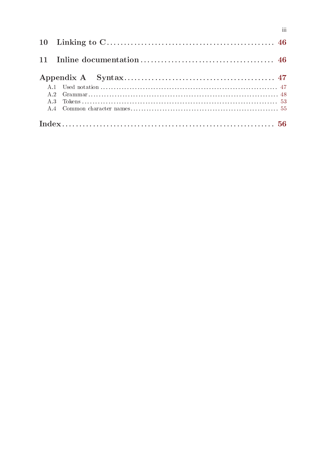$\overline{\text{iii}}$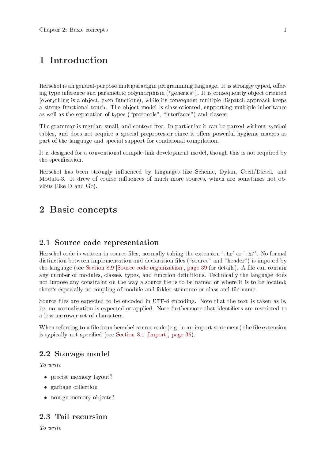# <span id="page-6-0"></span>1 Introduction

Herschel is an general-purpose multiparadigm programming language. It is strongly typed, offering type inference and parametric polymorphism ("generics"). It is consequently object oriented (everything is a object, even functions), while its consequent multiple dispatch approach keeps a strong functional touch. The object model is class-oriented, supporting multiple inheritance as well as the separation of types ("protocols", "interfaces") and classes.

The grammar is regular, small, and context free. In particular it can be parsed without symbol tables, and does not require a special preprocessor since it offers powerful hygienic macros as part of the language and special support for conditional compilation.

It is designed for a conventional compile-link development model, though this is not required by the specification.

Herschel has been strongly influenced by languages like Scheme, Dylan, Cecil/Diesel, and Modula-3. It drew of course influences of much more sources, which are sometimes not obvious (like D and Go).

# 2 Basic concepts

# 2.1 Source code representation

Herschel code is written in source files, normally taking the extension '.hr' or '.h7'. No formal distinction between implementation and declaration files ("source" and "header") is imposed by the language (see [Section 8.9 \[Source code organization\], page 39](#page-44-1) for details). A file can contain any number of modules, classes, types, and function definitions. Technically the language does not impose any constraint on the way a source file is to be named or where it is to be located; there's especially no coupling of module and folder structure or class and file name.

Source files are expected to be encoded in UTF-8 encoding. Note that the text is taken as is, i.e. no normalization is expected or applied. Note furthermore that identifiers are restricted to a less narrower set of characters.

When referring to a file from herschel source code (e.g. in an import statement) the file extension is typically not specified (see [Section 8.1 \[Import\], page 36](#page-41-1)).

# 2.2 Storage model

To write

- precise memory layout?
- garbage collection
- non-gc memory objects?

# 2.3 Tail recursion

To write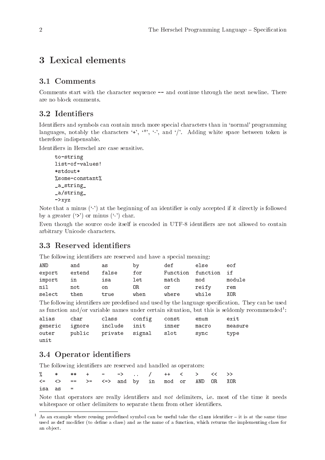# <span id="page-7-0"></span>3 Lexical elements

# 3.1 Comments

Comments start with the character sequence -- and continue through the next newline. There are no block comments.

# 3.2 Identifiers

Identifiers and symbols can contain much more special characters than in 'normal' programming languages, notably the characters '+', '\*', '-', and '/'. Adding white space between token is therefore indispensable.

Identifiers in Herschel are case sensitive.

```
to-string
list-of-values!
*stdout*
%some-constant%
_a_string_
_a/string_
->xyz
```
Note that a minus  $(2)$  at the beginning of an identifier is only accepted if it directly is followed by a greater  $('')$  or minus  $('')$  char.

Even though the source code itself is encoded in UTF-8 identifiers are not allowed to contain arbitrary Unicode characters.

# 3.3 Reserved identifiers

The following identifiers are reserved and have a special meaning:

| AND    | and    | as    | by   | def      | else     | eof    |
|--------|--------|-------|------|----------|----------|--------|
| export | extend | false | for  | Function | function | if     |
| import | ın     | isa   | let  | match    | mod      | module |
| nil    | not    | on.   | 0R.  | or       | reify    | rem    |
| select | then   | true  | when | where    | while    | XOR.   |

The following identifiers are predefined and used by the language specification. They can be used as function and/or variable names under certain situation, but this is seldomly recommended<sup>1</sup>:

| alias          | char                  |              | class config const |       | enum  | exit    |
|----------------|-----------------------|--------------|--------------------|-------|-------|---------|
| generic ignore |                       | include init |                    | inner | macro | measure |
| outer          | public private signal |              |                    | slot  | sync  | type    |
| unit           |                       |              |                    |       |       |         |

# 3.4 Operator identifiers

The following identifiers are reserved and handled as operators:

|              |  |  |  |  | % * ** + - ->  / ++ < > << >>                                   |  |
|--------------|--|--|--|--|-----------------------------------------------------------------|--|
|              |  |  |  |  | $\Leftarrow$ $\lt$ > == >= $\lt$ => and by in mod or AND OR XOR |  |
| $isa$ as $=$ |  |  |  |  |                                                                 |  |

Note that operators are really identifiers and not delimiters, i.e. most of the time it needs white space or other delimiters to separate them from other identifiers.

<sup>&</sup>lt;sup>1</sup> As an example where reusing predefined symbol can be useful take the class identifier – it is at the same time used as def modifier (to define a class) and as the name of a function, which returns the implementing class for an object.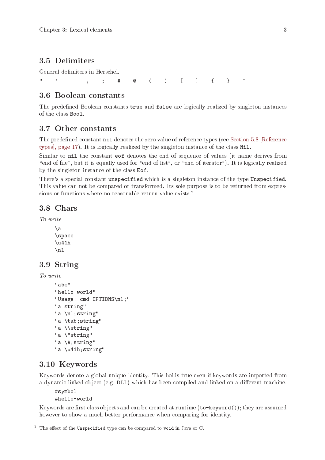# <span id="page-8-0"></span>3.5 Delimiters

General delimiters in Herschel.

" ' . , ; # @ ( ) [ ] { } ~

# 3.6 Boolean constants

The predefined Boolean constants true and false are logically realized by singleton instances of the class Bool.

# 3.7 Other constants

The predefined constant nil denotes the zero value of reference types (see [Section 5.8 \[Reference](#page-22-1) [types\], page 17](#page-22-1)). It is logically realized by the singleton instance of the class Nil.

Similar to nil the constant eof denotes the end of sequence of values (it name derives from "end of file", but it is equally used for "end of list", or "end of iterator"). It is logically realized by the singleton instance of the class Eof.

There's a special constant unspecified which is a singleton instance of the type Unspecified. This value can not be compared or transformed. Its sole purpose is to be returned from expressions or functions where no reasonable return value exists.<sup>2</sup>

# 3.8 Chars

To write

 $\lambda$ a \space  $\u41h$  $\ln$ 

# 3.9 String

To write

```
"abc"
"hello world"
"Usage: cmd OPTIONS\nl;"
"a string"
"a \nl;string"
"a \tab;string"
"a \\string"
"a \"string"
"a \A;string"
"a \u41h;string"
```
## 3.10 Keywords

Keywords denote a global unique identity. This holds true even if keywords are imported from a dynamic linked object (e.g. DLL) which has been compiled and linked on a different machine.

#symbol #hello-world

Keywords are first class objects and can be created at runtime (to-keyword()); they are assumed however to show a much better performance when comparing for identity.

 $2$  The effect of the Unspecified type can be compared to void in Java or C.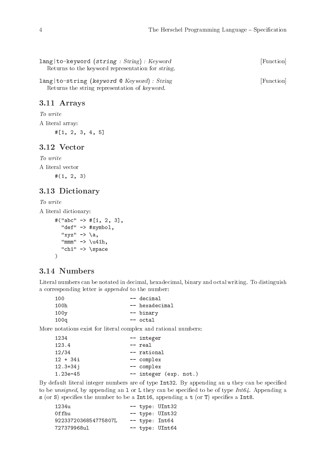<span id="page-9-0"></span>

| $lang   to - keyword (string : String) : Key word$<br>Returns to the keyword representation for <i>string</i> . | [Function] |
|-----------------------------------------------------------------------------------------------------------------|------------|
| lang   to-string (keyword $\mathcal Q$ Keyword) : String<br>Returns the string representation of keyword.       | [Function] |

## 3.11 Arrays

To write

A literal array:

#[1, 2, 3, 4, 5]

# 3.12 Vector

To write A literal vector  $#(1, 2, 3)$ 

# 3.13 Dictionary

# To write

A literal dictionary:

```
#("abc" \rightarrow #[1, 2, 3],
  "def" -> #symbol,
  "xyz" -> \a,
  "mmm" -> \u41h,
  "ch1" -> \space
)
```
# 3.14 Numbers

Literal numbers can be notated in decimal, hexadecimal, binary and octal writing. To distinguish a corresponding letter is appended to the number:

| 100  | -- decimal     |
|------|----------------|
| 100h | -- hexadecimal |
| 100y | -- binary      |
| 100q | -- octal       |

More notations exist for literal complex and rational numbers:

| 1234         | -- integer             |
|--------------|------------------------|
| 123.4        | -- real                |
| 12/34        | -- rational            |
| $12 + 34i$   | -- complex             |
| $12.3 + 34j$ | -- complex             |
| $1.23e - 45$ | -- integer (exp. not.) |

By default literal integer numbers are of type Int32. By appending an u they can be specified to be unsigned, by appending an 1 or L they can be specified to be of type  $Int64$ . Appending a s (or S) specifies the number to be a Int16, appending a t (or T) specifies a Int8.

| 123411               |  | -- type: UInt32   |
|----------------------|--|-------------------|
| 0ffhu                |  | -- type: UInt32   |
| 9223372036854775807L |  | -- type: Int64    |
| 727379968ul          |  | $--$ type: UInt64 |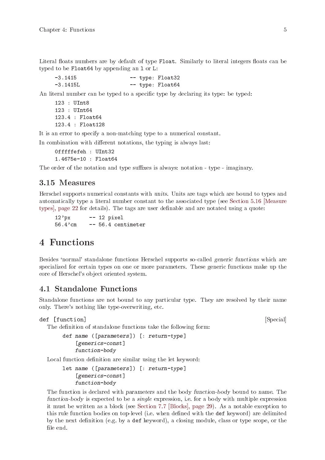<span id="page-10-0"></span>Literal floats numbers are by default of type Float. Similarly to literal integers floats can be typed to be Float64 by appending an l or L:

-3.1415 -- type: Float32 -3.1415L -- type: Float64

An literal number can be typed to a specific type by declaring its type: be typed:

```
123 : UInt8
123 : UInt64
123.4 : Float64
123.4 : Float128
```
It is an error to specify a non-matching type to a numerical constant.

In combination with different notations, the typing is always last:

0fffffefeh : UInt32 1.4675e-10 : Float64

The order of the notation and type suffixes is always: notation - type - imaginary.

### 3.15 Measures

Herschel supports numerical constants with units. Units are tags which are bound to types and automatically type a literal number constant to the associated type (see [Section 5.16 \[Measure](#page-27-1) [types\], page 22](#page-27-1) for details). The tags are user definable and are notated using a quote:

 $12'px$  -- 12 pixel 56.4'cm -- 56.4 centimeter

# 4 Functions

Besides 'normal' standalone functions Herschel supports so-called generic functions which are specialized for certain types on one or more parameters. These generic functions make up the core of Herschel's object oriented system.

### 4.1 Standalone Functions

Standalone functions are not bound to any particular type. They are resolved by their name only. There's nothing like type-overwriting, etc.

```
def [function] [Special] [Special]
```
The definition of standalone functions take the following form:

```
def name ([parameters]) [: return-type]
    [generics-const]
    function-body
```
Local function definition are similar using the let keyword:

let name ([parameters]) [: return-type] [generics-const] function-body

The function is declared with parameters and the body function-body bound to name. The function-body is expected to be a *single* expression, i.e. for a body with multiple expression it must be written as a block (see [Section 7.7 \[Blocks\], page 29](#page-34-1)). As a notable exception to this rule function bodies on top-level (i.e. when defined with the def keyword) are delimited by the next definition (e.g. by a def keyword), a closing module, class or type scope, or the file end.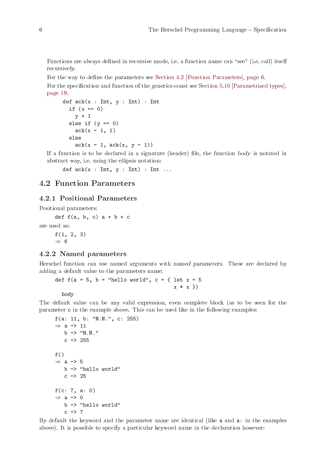<span id="page-11-0"></span>Functions are always defined in recursive mode, i.e. a function name can "see" (i.e. call) itself recursively.

For the way to define the parameters see [Section 4.2 \[Function Parameters\], page 6.](#page-11-1)

For the specification and function of the generics-const see [Section 5.10 \[Parametrized types\],](#page-24-1) [page 19.](#page-24-1)

```
def ack(x : Int, y : Int) : Intif (x == 0)y + 1else if (y == 0)ack(x - 1, 1)else
    ack(x - 1,ack(x, y - 1))
```
If a function is to be declared in a signature (header) file, the function body is notated in abstract way, i.e. using the ellipsis notation:

def  $ack(x : Int, y : Int) : Int ...$ 

# <span id="page-11-1"></span>4.2 Function Parameters

#### <span id="page-11-2"></span>4.2.1 Positional Parameters

Positional parameters:

def  $f(a, b, c)$   $a + b + c$ are used as:

> $f(1, 2, 3)$  $\Rightarrow$  6

### 4.2.2 Named parameters

Herschel function can use named arguments with named parameters. These are declared by adding a default value to the parameters name:

def  $f(a = 5, b = "hello world", c = { let  $x = 5$$  $x * x$ }

body

The default value can be any valid expression, even complete block (as to be seen for the parameter c in the example above. This can be used like in the following examples:

```
f(a: 11, b: "N.N.", c: 255)
\Rightarrow a -> 11
   b -> "N.N."
   c -> 255
f()\Rightarrow a -> 5
   b -> "hello world"
   c -> 25
f(c: 7, a: 0)\Rightarrow a -> 0
   b -> "hello world"
   c \rightarrow 7
```
By default the keyword and the parameter name are identical (like a and a: in the examples above). It is possible to specify a particular keyword name in the declaration however: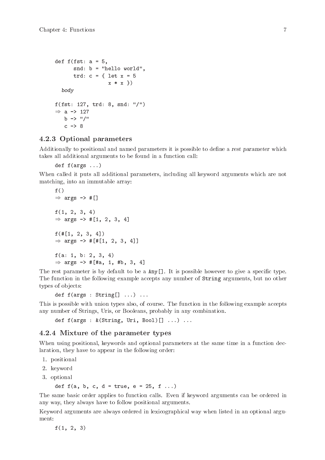```
def f(fst: a = 5,snd: b = "hello world",
       trd: c = \{ let x = 5x * x}
  body
f(fst: 127, trd: 8, snd: "/")
\Rightarrow a -> 127
   b \rightarrow "/"
   c \rightarrow 8
```
### 4.2.3 Optional parameters

Additionally to positional and named parameters it is possible to define a rest parameter which takes all additional arguments to be found in a function call:

```
def f(args ...)
```
When called it puts all additional parameters, including all keyword arguments which are not matching, into an immutable array:

```
f()\Rightarrow args -> #[]
f(1, 2, 3, 4)
\Rightarrow args -> #[1, 2, 3, 4]
f(\#[1, 2, 3, 4])\Rightarrow args -> #[#[1, 2, 3, 4]]
f(a: 1, b: 2, 3, 4)
\Rightarrow args -> #[#a, 1, #b, 3, 4]
```
The rest parameter is by default to be a  $\text{Any } \Box$ . It is possible however to give a specific type. The function in the following example accepts any number of String arguments, but no other types of objects:

```
def f(args : String[] ...) ...
```
This is possible with union types also, of course. The function in the following example accepts any number of Strings, Uris, or Booleans, probably in any combination.

def f(args : &(String, Uri, Bool)<sup>[]</sup> ...) ...

#### 4.2.4 Mixture of the parameter types

When using positional, keywords and optional parameters at the same time in a function declaration, they have to appear in the following order:

- 1. positional
- 2. keyword
- 3. optional

```
def f(a, b, c, d = true, e = 25, f ...
```
The same basic order applies to function calls. Even if keyword arguments can be ordered in any way, they always have to follow positional arguments.

Keyword arguments are always ordered in lexicographical way when listed in an optional argument:

 $f(1, 2, 3)$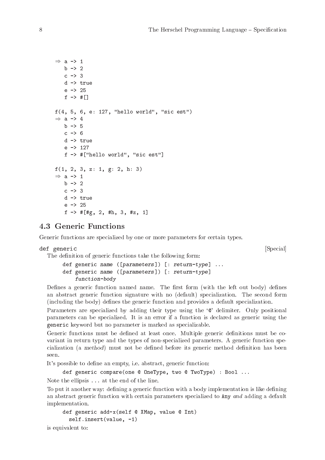```
\Rightarrow a -> 1
   b \rightarrow 2c -> 3
   d -> true
    e -> 25
   f \rightarrow #[]
f(4, 5, 6, e: 127, "hello world", "sic est")
\Rightarrow a -> 4
   b \rightarrow 5c -> 6
   d -> true
    e -> 127
   f -> #["hello world", "sic est"]
f(1, 2, 3, z: 1, g: 2, h: 3)
\Rightarrow a -> 1
   b \rightarrow 2c -> 3
   d -> true
    e -> 25
    f \rightarrow #[#g, 2, #h, 3, #z, 1]
```
# 4.3 Generic Functions

Generic functions are specialized by one or more parameters for certain types.

```
def generic [Special]
```
The definition of generic functions take the following form:

def generic name ([parameters]) [: return-type] ... def generic name ([parameters]) [: return-type] function-body

Defines a generic function named name. The first form (with the left out body) defines an abstract generic function signature with no (default) specialization. The second form (including the body) defines the generic function and provides a default specialization.

Parameters are specialized by adding their type using the ' $\mathbb{Q}$ ' delimiter. Only positional parameters can be specialized. It is an error if a function is declared as generic using the generic keyword but no parameter is marked as specializable.

Generic functions must be defined at least once. Multiple generic definitions must be covariant in return type and the types of non-specialized parameters. A generic function specialization (a method) must not be defined before its generic method definition has been seen.

It's possible to define an empty, i.e. abstract, generic function:

def generic compare(one @ OneType, two @ TwoType) : Bool ...

Note the ellipsis ... at the end of the line.

To put it another way: defining a generic function with a body implementation is like defining an abstract generic function with certain parameters specialized to Any and adding a default implementation.

```
def generic add-x(self @ XMap, value @ Int)
  self.insert(value, -1)
```
is equivalent to: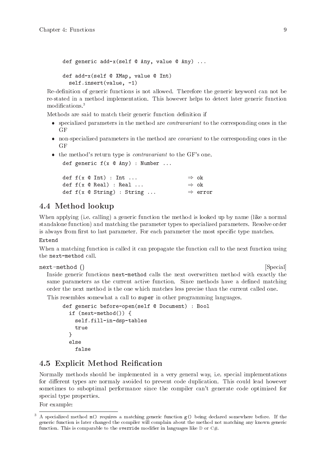<span id="page-14-0"></span>def generic add-x(self @ Any, value @ Any) ... def add-x(self @ XMap, value @ Int) self.insert(value, -1)

Re-definition of generic functions is not allowed. Therefore the generic keyword can not be re-stated in a method implementation. This however helps to detect later generic function modifications.<sup>3</sup>

Methods are said to match their generic function definition if

- specialized parameters in the method are *contravariant* to the corresponding ones in the GF
- non-specialized parameters in the method are *covariant* to the corresponding ones in the GF
- the method's return type is *contravariant* to the GF's one.

def generic f(x @ Any) : Number ...

|  | def $f(x \in Int)$ : Int                          | $\Rightarrow$ ok    |
|--|---------------------------------------------------|---------------------|
|  | def $f(x \otimes \text{Real})$ : Real             | $\Rightarrow$ ok    |
|  | def $f(x \in \mathcal{S} \text{string})$ : String | $\Rightarrow$ error |

# 4.4 Method lookup

When applying (i.e. calling) a generic function the method is looked up by name (like a normal standalone function) and matching the parameter types to specialized parameters. Resolve order is always from first to last parameter. For each parameter the most specific type matches.

#### Extend

When a matching function is called it can propagate the function call to the next function using the next-method call.

next-method () [Special]

Inside generic functions next-method calls the next overwritten method with exactly the same parameters as the current active function. Since methods have a defined matching order the next method is the one which matches less precise than the current called one.

This resembles somewhat a call to super in other programming languages.

```
def generic before-open(self @ Document) : Bool
  if (next-method()) {
    self.fill-in-dsp-tables
    true
  }
  else
    false
```
# 4.5 Explicit Method Reification

Normally methods should be implemented in a very general way, i.e. special implementations for different types are normaly avoided to prevent code duplication. This could lead however sometimes to suboptimal performance since the compiler can't generate code optimized for special type properties.

For example:

<sup>3</sup> A specialized method m() requires a matching generic function g() being declared somewhere before. If the generic function is later changed the compiler will complain about the method not matching any known generic function. This is comparable to the override modifier in languages like  $D$  or  $C#$ .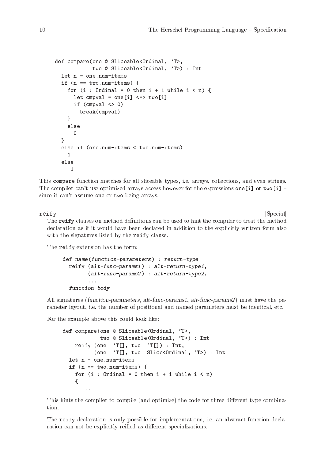```
def compare(one @ Sliceable<Ordinal, 'T>,
            two @ Sliceable<Ordinal, 'T>) : Int
  let n = one . num - itemsif (n == two.num-items) {
    for (i : Ordinal = 0 then i + 1 while i < n) {
      let cmpval = one[i] <=> two[i]if (cmpval \langle 0)
        break(cmpval)
    }
    else
      0
  }
  else if (one.num-items < two.num-items)
    1
  else
    -1
```
This compare function matches for all sliceable types, i.e. arrays, collections, and even strings. The compiler can't use optimized arrays access however for the expressions one [i] or two [i] – since it can't assume one or two being arrays.

reify [Special] The reify clauses on method definitions can be used to hint the compiler to treat the method declaration as if it would have been declared in addition to the explicitly written form also with the signatures listed by the reify clause.

The reify extension has the form:

```
def name(function-parameters) : return-type
  reify (alt-func-params1) : alt-return-type1,
        (alt-func-params2) : alt-return-type2,
        ...
  function-body
```
All signatures (function-parameters, alt-func-params1, alt-func-params2) must have the parameter layout, i.e. the number of positional and named parameters must be identical, etc.

For the example above this could look like:

```
def compare(one @ Sliceable<Ordinal, 'T>,
            two @ Sliceable<Ordinal, 'T>) : Int
    reify (one 'T[], two 'T[]) : Int,
          (one 'T[], two Slice<Ordinal, 'T>) : Int
  let n = one . num - itemsif (n == two.num-items) {
    for (i : Ordinal = 0 then i + 1 while i < n)
    {
      ...
```
This hints the compiler to compile (and optimize) the code for three different type combination.

The reify declaration is only possible for implementations, i.e. an abstract function declaration can not be explicitly reified as different specializations.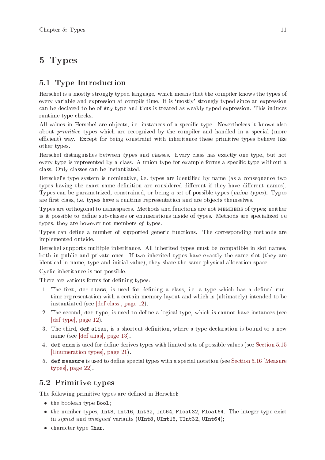# <span id="page-16-0"></span>5 Types

# 5.1 Type Introduction

Herschel is a mostly strongly typed language, which means that the compiler knows the types of every variable and expression at compile time. It is 'mostly' strongly typed since an expression can be declared to be of Any type and thus is treated as weakly typed expression. This induces runtime type checks.

All values in Herschel are objects, i.e. instances of a specific type. Nevertheless it knows also about *primitive* types which are recognized by the compiler and handled in a special (more efficient) way. Except for being constraint with inheritance these primitive types behave like other types.

Herschel distinguishes between types and classes. Every class has exactly one type, but not every type is represented by a class. A union type for example forms a specific type without a class. Only classes can be instantiated.

Herschel's type system is nominative, i.e. types are identified by name (as a consequence two types having the exact same definition are considered different if they have different names). Types can be parametrized, constrained, or being a set of possible types (union types). Types are first class, i.e. types have a runtime representation and are objects themselves.

Types are orthogonal to namespaces. Methods and functions are not members of types; neither is it possible to define sub-classes or enumerations inside of types. Methods are specialized on types, they are however not members of types.

Types can define a number of supported generic functions. The corresponding methods are implemented outside.

Herschel supports multiple inheritance. All inherited types must be compatible in slot names, both in public and private ones. If two inherited types have exactly the same slot (they are identical in name, type and initial value), they share the same physical allocation space.

Cyclic inheritance is not possible.

There are various forms for defining types:

- 1. The first, def class, is used for defining a class, i.e. a type which has a defined runtime representation with a certain memory layout and which is (ultimately) intended to be instantiated (see [\[def class\], page 12\)](#page-17-1).
- 2. The second, def type, is used to define a logical type, which is cannot have instances (see [\[def type\], page 12](#page-17-2)).
- 3. The third, def alias, is a shortcut definition, where a type declaration is bound to a new name (see [\[def alias\], page 13\)](#page-18-0).
- 4. def enum is used for define derives types with limited sets of possible values (see [Section 5.15](#page-26-1) [\[Enumeration types\], page 21](#page-26-1)).
- 5. def measure is used to define special types with a special notation (see [Section 5.16 \[Measure](#page-27-1) [types\], page 22\)](#page-27-1).

# 5.2 Primitive types

The following primitive types are defined in Herschel:

- the boolean type Bool;
- the number types, Int8, Int16, Int32, Int64, Float32, Float64. The integer type exist in signed and unsigned variants (UInt8, UInt16, UInt32, UInt64);
- character type Char.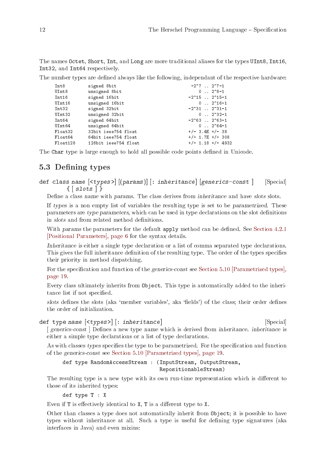<span id="page-17-0"></span>The names Octet, Short, Int, and Long are more traditional aliases for the types UInt8, Int16, Int32, and Int64 respectively.

The number types are defined always like the following, independant of the respective hardware:

| Int8      | signed 8bit          | $-2^2$ , $-2^2$ , $-1$           |
|-----------|----------------------|----------------------------------|
| UInt8     | unsigned 8bit        | $0 \ldots 2^8 - 1$               |
| Int16     | signed 16bit         | $-2^15$ $2^15-1$                 |
| UInt16    | unsigned 16bit       | $0 \ldots 2^{\circ} 16^{-}1$     |
| Int32     | signed 32bit         | $-2^{\circ}31$ $2^{\circ}31-1$   |
| UInt32    | unsigned 32bit       | $0 \ldots 2^{2}32-1$             |
| Int64     | signed 64bit         | $-2^{\circ}63$ . $2^{\circ}63-1$ |
| UInt64    | unsigned 64bit       | $0 \ldots 2^{\circ} 64 - 1$      |
| Float32   | 32bit ieee754 float  | $+/-$ 3.4E $+/-$ 38              |
| Float64   | 64bit ieee754 float  | $+/-$ 1.7E $+/-$ 308             |
| Float 128 | 128bit ieee754 float | $+/-$ 1.18 $+/-$ 4932            |
|           |                      |                                  |

The Char type is large enough to hold all possible code points defined in Unicode.

# 5.3 Defining types

<span id="page-17-1"></span>def class name  $|\langle \text{types} \rangle|$  [(params)] : inheritance [generics-const ] [Special]  $\{ |$ slots $|$ }

Define a class name with params. The class derives from inheritance and have slots slots.

If types is a non empty list of variables the resulting type is set to be parametrized. These parameters are type parameters, which can be used in type declarations on the slot definitions in slots and from related method definitions.

With params the parameters for the default apply method can be defined. See [Section 4.2.1](#page-11-2) [\[Positional Parameters\], page 6](#page-11-2) for the syntax details.

Inheritance is either a single type declaration or a list of comma separated type declarations. This gives the full inheritance definition of the resulting type. The order of the types specifies their priority in method dispatching.

For the specification and function of the generics-const see [Section 5.10 \[Parametrized types\],](#page-24-1) [page 19.](#page-24-1)

Every class ultimately inherits from Object. This type is automatically added to the inheritance list if not specified.

slots defines the slots (aka 'member variables', aka 'fields') of the class; their order defines the order of initialization.

```
def type name \left[ < types > \right] [: inheritance] [Special]
  [ generics-const ] Defines a new type name which is derived from inheritance. inheritance is
  either a simple type declarations or a list of type declarations.
```
As with classes types specifies the type to be parametrized. For the specification and function of the generics-const see [Section 5.10 \[Parametrized types\], page 19.](#page-24-1)

def type RandomAccessStream : (InputStream, OutputStream, RepositionableStream)

The resulting type is a new type with its own run-time representation which is different to those of its inherited types:

def type T : X

Even if T is effectively identical to X, T is a different type to X.

Other than classes a type does not automatically inherit from Object; it is possible to have types without inheritance at all. Such a type is useful for defining type signatures (aka interfaces in Java) and even mixins: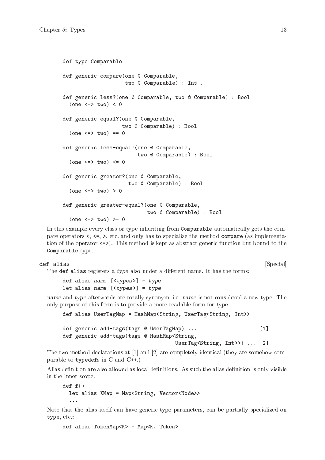```
def type Comparable
def generic compare(one @ Comparable,
                    two @ Comparable) : Int ...
def generic less?(one @ Comparable, two @ Comparable) : Bool
  (one \le > two) < 0def generic equal?(one @ Comparable,
                   two @ Comparable) : Bool
  (one \le > two) == 0def generic less-equal?(one @ Comparable,
                         two @ Comparable) : Bool
  (one \le > two) \le 0def generic greater?(one @ Comparable,
                     two @ Comparable) : Bool
  (one \le \gt two) > 0def generic greater-equal?(one @ Comparable,
                            two @ Comparable) : Bool
  (one \le > two) > = 0
```
In this example every class or type inheriting from Comparable automatically gets the compare operators  $\lt$ ,  $\lt$ =,  $\gt$ , etc. and only has to specialize the method compare (as implementation of the operator  $\le$ >). This method is kept as abstract generic function but bound to the Comparable type.

```
def alias [Special]
```
The def alias registers a type also under a different name. It has the forms:

def alias name  $[\langle types \rangle] = type$ let alias name  $[\langle types \rangle] = type$ 

name and type afterwards are totally synonym, i.e. name is not considered a new type. The only purpose of this form is to provide a more readable form for type.

```
def alias UserTagMap = HashMap<String, UserTag<String, Int>>
def generic add-tags(tags @ UserTagMap) ... [1]
def generic add-tags(tags @ HashMap<String,
                                 UserTag<String, Int>>) ... [2]
```
The two method declarations at [1] and [2] are completely identical (they are somehow comparable to typedefs in C and C++.)

Alias definition are also allowed as local definitions. As such the alias definition is only visible in the inner scope:

```
def f()let alias XMap = Map<String, Vector<Node>>
  ...
```
Note that the alias itself can have generic type parameters, can be partially specialized on type, etc.:

def alias TokenMap<K> = Map<K, Token>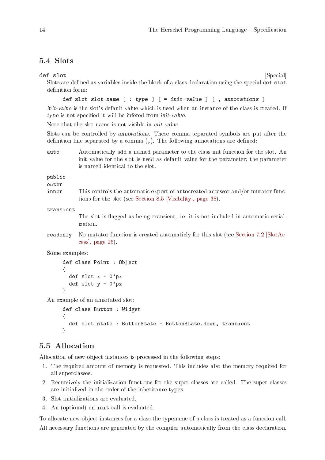# <span id="page-19-0"></span>5.4 Slots

def slot [Special]

Slots are defined as variables inside the block of a class declaration using the special def slot definition form:

def slot slot-name  $[$  : type  $]$   $[$  = init-value  $]$   $[$  , annotations  $]$ 

init-value is the slot's default value which is used when an instance of the class is created. If type is not specified it will be infered from init-value.

Note that the slot name is not visible in init-value.

Slots can be controlled by annotations. These comma separated symbols are put after the definition line separated by a comma (,). The following annotations are defined:

auto Automatically add a named parameter to the class init function for the slot. An init value for the slot is used as default value for the parameter; the parameter is named identical to the slot.

public

- outer
- inner This controls the automatic export of autocreated accessor and/or mutator functions for the slot (see [Section 8.5 \[Visibility\], page 38\)](#page-43-1).

transient

The slot is flagged as being transient, i.e. it is not included in automatic serialization.

readonly No mutator function is created automaticly for this slot (see [Section 7.2 \[SlotAc](#page-30-1)[cess\], page 25](#page-30-1)).

Some examples:

```
def class Point : Object
{
  def slot x = 0'pxdef slot y = 0'px}
```
An example of an annotated slot:

```
def class Button : Widget
{
  def slot state : ButtonState = ButtonState.down, transient
}
```
# 5.5 Allocation

Allocation of new object instances is processed in the following steps:

- 1. The required amount of memory is requested. This includes also the memory required for all superclasses.
- 2. Recursively the initialization functions for the super classes are called. The super classes are initialized in the order of the inheritance types.
- 3. Slot initializations are evaluated.
- 4. An (optional) on init call is evaluated.

To allocate new object instances for a class the typename of a class is treated as a function call. All necessary functions are generated by the compiler automatically from the class declaration.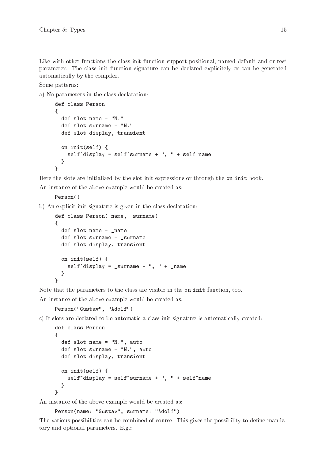Like with other functions the class init function support positional, named default and or rest parameter. The class init function signature can be declared explicitely or can be generated automatically by the compiler.

Some patterns:

a) No parameters in the class declaration:

```
def class Person
{
  def slot name = "N."
  def slot surname = "N."
  def slot display, transient
  on init(self) {
    self^{\text{th}}display = self^surname + ", " + self^name
  }
}
```
Here the slots are initialized by the slot init expressions or through the on init hook. An instance of the above example would be created as:

Person()

b) An explicit init signature is given in the class declaration:

```
def class Person(_name, _surname)
{
  def slot name = _name
  def slot surname = surname
  def slot display, transient
  on init(self) {
    self^{\dagger}display = _surname + ", " + _name
  }
}
```
Note that the parameters to the class are visible in the on init function, too.

An instance of the above example would be created as:

```
Person("Gustav", "Adolf")
```
c) If slots are declared to be automatic a class init signature is automatically created:

```
def class Person
{
  def slot name = "N.", auto
  def slot surname = "N.", auto
  def slot display, transient
  on init(self) {
    self^{\dagger}display = self^surname + ", " + self^name
  }
}
```
An instance of the above example would be created as:

Person(name: "Gustav", surname: "Adolf")

The various possibilities can be combined of course. This gives the possibility to define mandatory and optional parameters. E.g.: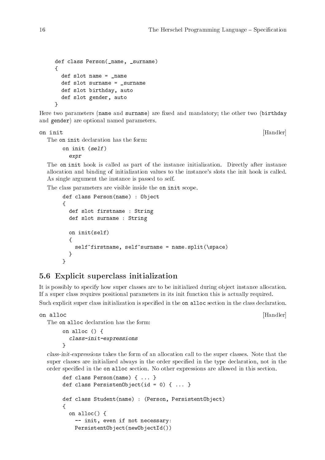```
def class Person(_name, _surname)
\mathcal{L}def slot name = _name
  def slot surname = surname
  def slot birthday, auto
  def slot gender, auto
}
```
Here two parameters (name and surname) are fixed and mandatory; the other two (birthday and gender) are optional named parameters.

on init [Handler]

The on init declaration has the form:

on init (self) expr

The on init hook is called as part of the instance initialization. Directly after instance allocation and binding of initialization values to the instance's slots the init hook is called. As single argument the instance is passed to self.

The class parameters are visible inside the on init scope.

```
def class Person(name) : Object
\sqrt{2}def slot firstname : String
  def slot surname : String
  on init(self)
  {
    self^firstname, self^surname = name.split(\space)
  }
}
```
# 5.6 Explicit superclass initialization

It is possibly to specify how super classes are to be initialized during object instance allocation. If a super class requires positional parameters in its init function this is actually required.

Such explicit super class initialization is specified in the on alloc section in the class declaration.

on alloc [Handler]

The on alloc declaration has the form:

```
on alloc () {
  class-init-expressions
}
```
class-init-expressions takes the form of an allocation call to the super classes. Note that the super classes are initialized always in the order specified in the type declaration, not in the order specified in the on alloc section. No other expressions are allowed in this section.

```
def class Person(name) { ... }
def class PersistenObject(id = 0) { ... }
def class Student(name) : (Person, PersistentObject)
{
  on alloc() {
    -- init, even if not necessary:
    PersistentObject(newObjectId())
```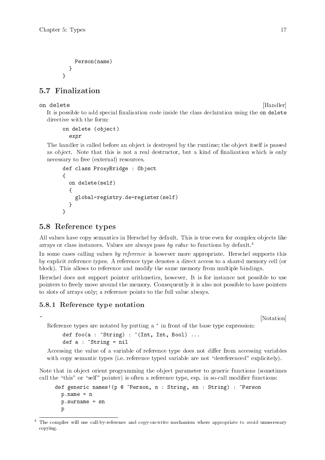```
Person(name)
 }
}
```
# 5.7 Finalization

## on delete [Handler]

It is possible to add special finalization code inside the class declaration using the on delete directive with the form:

```
on delete (object)
  expr
```
The handler is called before an object is destroyed by the runtime; the object itself is passed as object. Note that this is not a real destructor, but a kind of finalization which is only necessary to free (external) resources.

```
def class ProxyBridge : Object
{
  on delete(self)
  \sqrt{2}global-registry.de-register(self)
  }
}
```
# <span id="page-22-1"></span>5.8 Reference types

All values have copy semantics in Herschel by default. This is true even for complex objects like arrays or class instances. Values are always pass by value to functions by default.<sup>4</sup>

In some cases calling values by reference is however more appropriate. Herschel supports this by explicit reference types. A reference type denotes a direct access to a shared memory cell (or block). This allows to reference and modify the same memory from multiple bindings.

Herschel does not support pointer arithmetics, however. It is for instance not possible to use pointers to freely move around the memory. Consequently it is also not possible to have pointers to slots of arrays only; a reference points to the full value always.

# 5.8.1 Reference type notation

 $\hat{N}$  [Notation]

Reference types are notated by putting a  $\hat{ }$  in front of the base type expression:

```
def foo(a : \text{String}) : \text{[Int, Int, Bool]} ...
def a : ^String = nil
```
Accessing the value of a variable of reference type does not differ from accessing variables with copy semantic types (i.e. reference typed variable are not "dereferenced" explicitely).

Note that in object orient programming the object parameter to generic functions (sometimes call the "this" or "self" pointer) is often a reference type, esp. in so-call modifier functions:

```
def generic names!(p @ ^Person, n : String, sn : String) : ^Person
  p.name = n
  p.surname = sn
  p
```
<sup>&</sup>lt;sup>4</sup> The compiler will use call-by-reference and copy-on-write mechanism where appropriate to avoid unnecessary copying.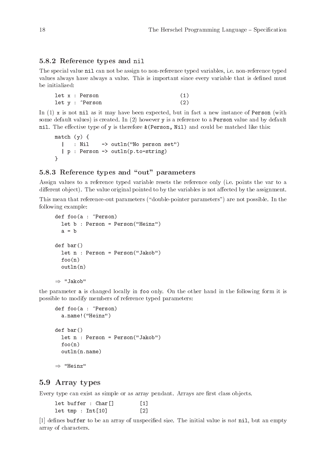### <span id="page-23-0"></span>5.8.2 Reference types and nil

The special value nil can not be assign to non-reference typed variables, i.e. non-reference typed values always have always a value. This is important since every variable that is defined must be initialized:

```
let x : Person (1)
let y : ^Person (2)
```
In  $(1)$  x is not nil as it may have been expected, but in fact a new instance of Person (with some default values) is created. In (2) however y is a reference to a **Person** value and by default nil. The effective type of y is therefore &(Person, Nil) and could be matched like this:

```
match (y) {
 | : Nil -> outln("No person set")
  | p : Person -> outln(p.to-string)
}
```
### 5.8.3 Reference types and "out" parameters

Assign values to a reference typed variable resets the reference only (i.e. points the var to a different object). The value original pointed to by the variables is not affected by the assignment.

This mean that reference-out parameters ("double-pointer parameters") are not possible. In the following example:

```
def foo(a : ^Person)
  let b : Person = Person("Heinz")
  a = bdef bar()
  let n : Person = Person("Jakob")
  foo(n)outln(n)
\Rightarrow "Jakob"
```
the parameter a is changed locally in foo only. On the other hand in the following form it is possible to modify members of reference typed parameters:

```
def foo(a : ^Person)
  a.name!("Heinz")
def bar()
  let n : Person = Person("Jakob")
  foo(n)outln(n.name)
\Rightarrow "Heinz"
```
## 5.9 Array types

Every type can exist as simple or as array pendant. Arrays are first class objects.

|                        | let buffer : Char[] | [1]                 |
|------------------------|---------------------|---------------------|
| $let \; tmp : Int[10]$ |                     | $\lbrack 2 \rbrack$ |

[1] defines buffer to be an array of unspecified size. The initial value is not nil, but an empty array of characters.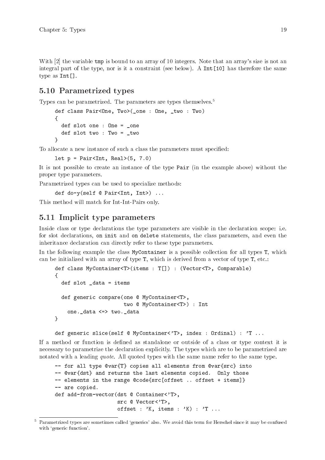<span id="page-24-0"></span>With [2] the variable tmp is bound to an array of 10 integers. Note that an array's size is not an integral part of the type, nor is it a constraint (see below). A Int[10] has therefore the same type as Int[].

# <span id="page-24-1"></span>5.10 Parametrized types

Types can be parametrized. The parameters are types themselves.<sup>5</sup>

```
def class Pair<One, Two>( one : One, two : Two)
{
  def slot one : One = _one
  def slot two : Two = _two
}
```
To allocate a new instance of such a class the parameters must specified:

```
let p = \text{Pair}Int, Real>(5, 7.0)
```
It is not possible to create an instance of the type Pair (in the example above) without the proper type parameters.

Parametrized types can be used to specialize methods:

def do-y(self @ Pair<Int, Int>) ...

This method will match for Int-Int-Pairs only.

# 5.11 Implicit type parameters

Inside class or type declarations the type parameters are visible in the declaration scope: i.e. for slot declarations, on init and on delete statements, the class parameters, and even the inheritance declaration can directly refer to these type parameters.

In the following example the class MyContainer is a possible collection for all types T, which can be initialized with an array of type T, which is derived from a vector of type T, etc.:

```
def class MyContainer<T>(items : T[]) : (Vector<T>, Comparable)
{
  def slot _data = items
  def generic compare(one @ MyContainer<T>,
                      two @ MyContainer<T>) : Int
    one._data <=> two._data
}
```
def generic slice(self @ MyContainer<'T>, index : Ordinal) : 'T ...

If a method or function is defined as standalone or outside of a class or type context it is necessary to parametrize the declaration explicitly. The types which are to be parametrized are notated with a leading *quote*. All quoted types with the same name refer to the same type.

```
-- for all type @var{T} copies all elements from @var{src} into
-- @var{dst} and returns the last elements copied. Only those
-- elements in the range @code{src[offset .. offset + items]}
-- are copied.
def add-from-vector(dst @ Container<'T>,
                    src @ Vector<'T>,
                    offset : 'K, items : 'K) : 'T ...
```
<sup>5</sup> Parametrized types are sometimes called 'generics' also. We avoid this term for Herschel since it may be confused with 'generic function'.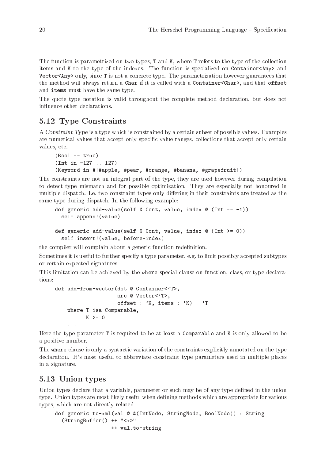<span id="page-25-0"></span>The function is parametrized on two types, T and K, where T refers to the type of the collection items and K to the type of the indexes. The function is specialized on Container<Any> and Vector<Any> only, since T is not a concrete type. The parametrization however guarantees that the method will always return a Char if it is called with a Container<Char>, and that offset and items must have the same type.

The quote type notation is valid throughout the complete method declaration, but does not influence other declarations.

# 5.12 Type Constraints

A Constraint Type is a type which is constrained by a certain subset of possible values. Examples are numerical values that accept only specific value ranges, collections that accept only certain values, etc.

```
(Bool == true)(Int in -127 .. 127)
(Keyword in #[#apple, #pear, #orange, #banana, #grapefruit])
```
The constraints are not an integral part of the type, they are used however during compilation to detect type mismatch and for possible optimization. They are especially not honoured in multiple dispatch. I.e. two constraint types only differing in their constraints are treated as the same type during dispatch. In the following example:

```
def generic add-value(self \mathbb O Cont, value, index \mathbb O (Int == -1))
  self.append!(value)
```

```
def generic add-value(self @ Cont, value, index @ (Int >= 0))
  self.insert!(value, before-index)
```
the compiler will complain about a generic function redefinition.

Sometimes it is useful to further specify a type parameter, e.g. to limit possibly accepted subtypes or certain expected signatures.

This limitation can be achieved by the where special clause on function, class, or type declarations:

```
def add-from-vector(dst @ Container<'T>,
                    src @ Vector<'T>,
                    offset : 'K, items : 'K) : 'T
    where T isa Comparable,
         K \geq 0...
```
Here the type parameter T is required to be at least a Comparable and K is only allowed to be a positive number.

The where clause is only a syntactic variation of the constraints explicitly annotated on the type declaration. It's most useful to abbreviate constraint type parameters used in multiple places in a signature.

# 5.13 Union types

Union types declare that a variable, parameter or such may be of any type defined in the union type. Union types are most likely useful when defining methods which are appropriate for various types, which are not directly related.

```
def generic to-xml(val @ &(IntNode, StringNode, BoolNode)) : String
  (StringBuffer() ++ "<x>"
                  ++ val.to-string
```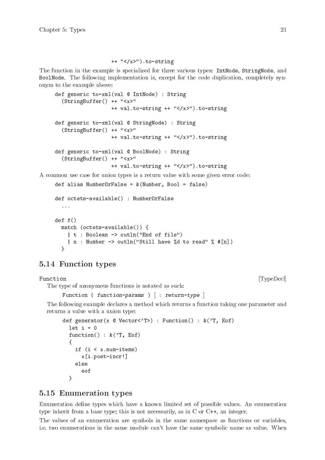#### ++ "</x>").to-string

<span id="page-26-0"></span>The function in the example is specialized for three various types: IntNode, StringNode, and BoolNode. The following implementation is, except for the code duplication, completely synonym to the example above:

```
def generic to-xml(val @ IntNode) : String
       (StringBuffer() ++ "<x>"
                       ++ val.to-string ++ "</x>").to-string
     def generic to-xml(val @ StringNode) : String
       (StringBuffer() ++ "<x>"
                       ++ val.to-string ++ "</x>").to-string
     def generic to-xml(val @ BoolNode) : String
       (StringBuffer() ++ "<x>"
                       ++ val.to-string ++ "</x>").to-string
A common use case for union types is a return value with some given error code:
```

```
def alias NumberOrFalse = \&(Number, Bool = false)
```

```
def octets-available() : NumberOrFalse
  ...
def f()
  match (octets-available()) {
   | t : Boolean -> outln("End of file")
    | n : Number -> outln("Still have %d to read" % #[n])
  }
```
# 5.14 Function types

 $\lbrack \text{TypeDecl} \rbrack$ The type of anonymous functions is notated as such:

```
Function ( function-params ) [ : return-type ]
```
The following example declares a method which returns a function taking one parameter and returns a value with a union type:

```
def generator(x @ Vector<'T>) : Function() : \&('T, Eof)
  let i = 0function() : \&('T, Eof)
  {
    if (i < x.num-items)
      x[i.post-incr!]
    else
      eof
  }
```
# <span id="page-26-1"></span>5.15 Enumeration types

Enumeration define types which have a known limited set of possible values. An enumeration type inherit from a base type; this is not necessarily, as in C or C++, an integer.

The values of an enumeration are symbols in the same namespace as functions or variables, i.e. two enumerations in the same module can't have the same symbolic name as value. When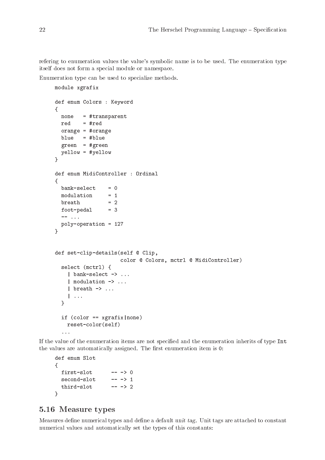<span id="page-27-0"></span>refering to enumeration values the value's symbolic name is to be used. The enumeration type itself does not form a special module or namespace.

Enumeration type can be used to specialize methods.

```
module xgrafix
def enum Colors : Keyword
\left\{ \right.none = #transparent
  red = #redorange = #orange
  blue = #blue
  green = #green
  yellow = #yellow
}
def enum MidiController : Ordinal
\mathcal{L}bank-select = 0<br>modulation = 1
  modulation = 1
  breakh = 2
  foot-pedal = 3
  -- ...
  poly-operation = 127
}
def set-clip-details(self @ Clip,
                        color @ Colors, mctrl @ MidiController)
  select (mctrl) {
    | bank-select -> ...
    | modulation -> ...
    | breath -> ...
    \| \cdot \cdot \cdot \|}
  if \text{color} = \text{sqrt} \cdot \text{name})
    reset-color(self)
  ...
```
If the value of the enumeration items are not specified and the enumeration inherits of type Int the values are automatically assigned. The first enumeration item is 0:

```
def enum Slot
{
 first-slot -- -> 0
 second-slot -- -> 1
 third-slot -- -> 2
}
```
# <span id="page-27-1"></span>5.16 Measure types

Measures define numerical types and define a default unit tag. Unit tags are attached to constant numerical values and automatically set the types of this constants: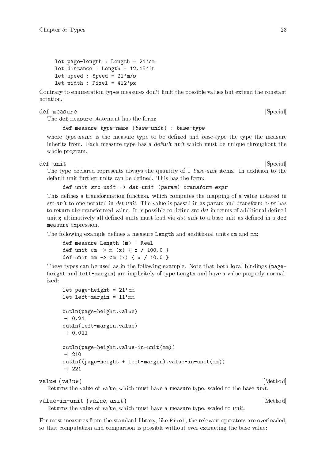```
let page-length : Length = 21'cm
let distance : Length = 12.15'ft
let speed : Speed = 21'm/slet width : Pixel = 412'px
```
Contrary to enumeration types measures don't limit the possible values but extend the constant notation.

def measure [Special]

The def measure statement has the form:

def measure type-name (base-unit) : base-type

where type-name is the measure type to be defined and base-type the type the measure inherits from. Each measure type has a default unit which must be unique throughout the whole program.

def unit [Special]

The type declared represents always the quantity of 1 base-unit items. In addition to the default unit further units can be defined. This has the form:

def unit src-unit -> dst-unit (param) transform-expr

This defines a transformation function, which computes the mapping of a value notated in src-unit to one notated in dst-unit. The value is passed in as param and transform-expr has to return the transformed value. It is possible to define src-dst in terms of additional defined units; ultimatively all defined units must lead via  $dst-unit$  to a base unit as defined in a def measure expression.

The following example defines a measure Length and additional units cm and mm:

def measure Length (m) : Real def unit cm  $\rightarrow$  m (x) { x / 100.0 } def unit mm  $\rightarrow$  cm (x) { x / 10.0 }

These types can be used as in the following example. Note that both local bindings (pageheight and left-margin) are implicitely of type Length and have a value properly normalized:

```
let page-height = 21'cm
      let left-margin = 11' mm
      outln(page-height.value)
      -1 0.21
      outln(left-margin.value)
      -1.0.011outln(page-height.value-in-unit(mm))
      -1 210
      outln((page-height + left-margin).value-in-unit(mm))
      -1221value (value) [Method]
```
Returns the value of value, which must have a measure type, scaled to the base unit.

#### value-in-unit (value, unit) [Method]

Returns the value of value, which must have a measure type, scaled to unit.

For most measures from the standard library, like Pixel, the relevant operators are overloaded, so that computation and comparison is possible without ever extracting the base value: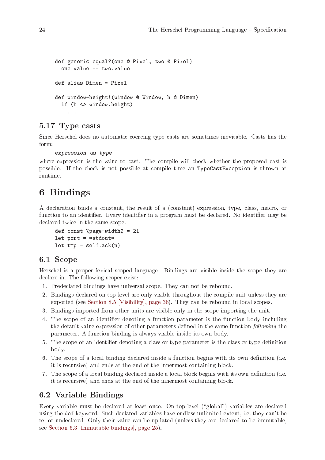```
def generic equal?(one @ Pixel, two @ Pixel)
  one.value == two.value
def alias Dimen = Pixel
def window-height!(window @ Window, h @ Dimen)
  if (h <> window.height)
    ...
```
# 5.17 Type casts

Since Herschel does no automatic coercing type casts are sometimes inevitable. Casts has the form:

```
expression as type
```
where expression is the value to cast. The compile will check whether the proposed cast is possible. If the check is not possible at compile time an TypeCastException is thrown at runtime.

# 6 Bindings

A declaration binds a constant, the result of a (constant) expression, type, class, macro, or function to an identifier. Every identifier in a program must be declared. No identifier may be declared twice in the same scope.

```
def const %page-width% = 21let port = *stdout*
let tmp = self.ack(n)
```
## 6.1 Scope

Herschel is a proper lexical scoped language. Bindings are visible inside the scope they are declare in. The following scopes exist:

- 1. Predeclared bindings have universal scope. They can not be rebound.
- 2. Bindings declared on top-level are only visible throughout the compile unit unless they are exported (see [Section 8.5 \[Visibility\], page 38](#page-43-1)). They can be rebound in local scopes.
- 3. Bindings imported from other units are visible only in the scope importing the unit.
- 4. The scope of an identifier denoting a function parameter is the function body including the default value expression of other parameters defined in the same function following the parameter. A function binding is always visible inside its own body.
- 5. The scope of an identifier denoting a class or type parameter is the class or type definition body.
- 6. The scope of a local binding declared inside a function begins with its own definition (i.e. it is recursive) and ends at the end of the innermost containing block.
- 7. The scope of a local binding declared inside a local block begins with its own definition (i.e. it is recursive) and ends at the end of the innermost containing block.

# 6.2 Variable Bindings

Every variable must be declared at least once. On top-level ("global") variables are declared using the def keyword. Such declared variables have endless unlimited extent, i.e. they can't be re- or undeclared. Only their value can be updated (unless they are declared to be immutable, see [Section 6.3 \[Immutable bindings\], page 25\)](#page-30-2).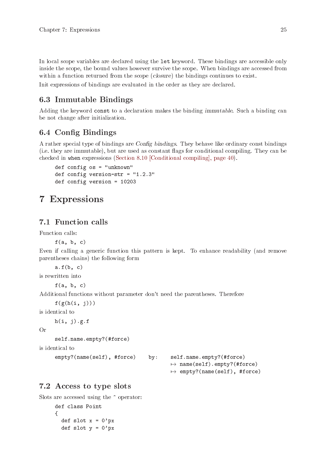<span id="page-30-0"></span>In local scope variables are declared using the let keyword. These bindings are accessible only inside the scope, the bound values however survive the scope. When bindings are accessed from within a function returned from the scope (closure) the bindings continues to exist.

Init expressions of bindings are evaluated in the order as they are declared.

# <span id="page-30-2"></span>6.3 Immutable Bindings

Adding the keyword const to a declaration makes the binding immutable. Such a binding can be not change after initialization.

# <span id="page-30-3"></span>6.4 Config Bindings

A rather special type of bindings are Config bindings. They behave like ordinary const bindings (i.e. they are immutable), but are used as constant flags for conditional compiling. They can be checked in when expressions [\(Section 8.10 \[Conditional compiling\], page 40](#page-45-1)).

```
def config os = "unknown"
def config version-str = "1.2.3"def config version = 10203
```
# 7 Expressions

# 7.1 Function calls

Function calls:

 $f(a, b, c)$ 

Even if calling a generic function this pattern is kept. To enhance readability (and remove parentheses chains) the following form

 $a.f(b, c)$ is rewritten into

 $f(a, b, c)$ 

Additional functions without parameter don't need the parentheses. Therefore

 $f(g(h(i, j)))$ 

is identical to

 $h(i, j)$ .g.f

Or

self.name.empty?(#force)

```
is identical to
```
empty?(name(self), #force) by: self.name.empty?(#force)

 $\mapsto$  name(self).empty?(#force)  $\mapsto$  empty?(name(self), #force)

# <span id="page-30-1"></span>7.2 Access to type slots

```
Slots are accessed using the \hat{\phantom{a}} operator:
      def class Point
      {
        def slot x = 0'pxdef slot y = 0'px
```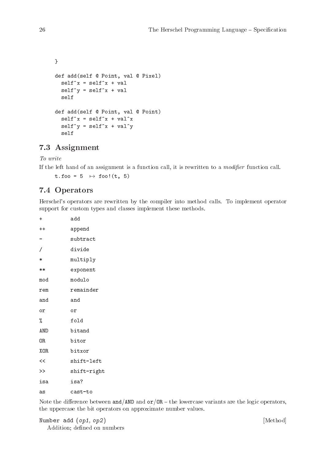```
}
def add(self @ Point, val @ Pixel)
  self^x = self^x + valself^y = self^x + valself
def add(self @ Point, val @ Point)
  self^x = self^x + val^xself^y = self^x + val^yself
```
# 7.3 Assignment

To write

If the left hand of an assignment is a function call, it is rewritten to a modifier function call.

t.foo =  $5 \rightarrow$  foo!(t, 5)

# 7.4 Operators

Herschel's operators are rewritten by the compiler into method calls. To implement operator support for custom types and classes implement these methods.

| $\ddot{}$ | add         |
|-----------|-------------|
| $^{++}$   | append      |
|           | subtract    |
| 7         | divide      |
| $\ast$    | multiply    |
| $**$      | exponent    |
| mod       | modulo      |
| rem       | remainder   |
| and       | and         |
| οr        | οr          |
| %         | fold        |
| AND       | bitand      |
| 0R        | bitor       |
| XOR       | bitxor      |
| <<        | shift-left  |
| $\gt$     | shift-right |
| isa       | isa?        |
| as        | cast-to     |

Note the difference between and/AND and  $\sigma r / OR$  – the lowercase variants are the logic operators, the uppercase the bit operators on approximate number values.

```
Number add (op1, op2) [Method]
 Addition; defined on numbers
```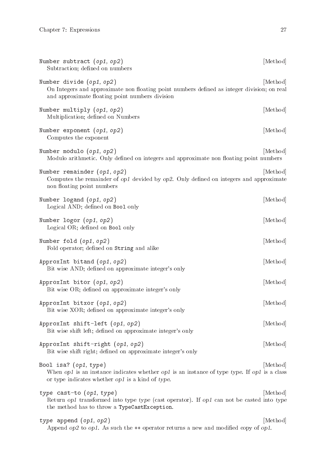<span id="page-32-0"></span>

| Number subtract $(op1, op2)$<br>Subtraction; defined on numbers                                                                                                              | [Method] |
|------------------------------------------------------------------------------------------------------------------------------------------------------------------------------|----------|
| Number divide $(op1, op2)$<br>On Integers and approximate non floating point numbers defined as integer division; on real<br>and approximate floating point numbers division | [Method] |
| Number multiply $(op1, op2)$<br>Multiplication; defined on Numbers                                                                                                           | [Method] |
| Number exponent $(op1, op2)$<br>Computes the exponent                                                                                                                        | [Method] |
| Number modulo $(op1, op2)$<br>Modulo arithmetic. Only defined on integers and approximate non floating point numbers                                                         | [Method] |
| Number remainder $(op1, op2)$<br>Computes the remainder of op1 devided by op2. Only defined on integers and approximate<br>non floating point numbers                        | [Method] |
| Number logand $(op1, op2)$<br>Logical AND; defined on Boo1 only                                                                                                              | [Method] |
| Number logor (op1, op2)<br>Logical OR; defined on Bool only                                                                                                                  | [Method] |
| Number fold $(op1, op2)$<br>Fold operator; defined on String and alike                                                                                                       | [Method] |
| ApproxInt bitand $(op1, op2)$<br>Bit wise AND; defined on approximate integer's only                                                                                         | [Method] |
| ApproxInt bitor $(op1, op2)$<br>Bit wise OR; defined on approximate integer's only                                                                                           | [Method] |
| ApproxInt bitxor (op1, op2)<br>Bit wise XOR; defined on approximate integer's only                                                                                           | [Method] |
| ApproxInt shift-left $(op1, op2)$<br>Bit wise shift left; defined on approximate integer's only                                                                              | [Method] |
| ApproxInt shift-right (op1, op2)<br>Bit wise shift right; defined on approximate integer's only                                                                              | [Method] |
| Bool isa? $(op1, type)$<br>When op1 is an instance indicates whether op1 is an instance of type type. If op1 is a class<br>or type indicates whether op1 is a kind of type.  | Method   |
| type cast-to $(op1, type)$<br>Return op1 transformed into type type (cast operator). If op1 can not be casted into type<br>the method has to throw a TypeCastException.      | [Method] |
| type append $(op1, op2)$<br>Append $op2$ to $op1$ . As such the $++$ operator returns a new and modified copy of $op1$ .                                                     | [Method] |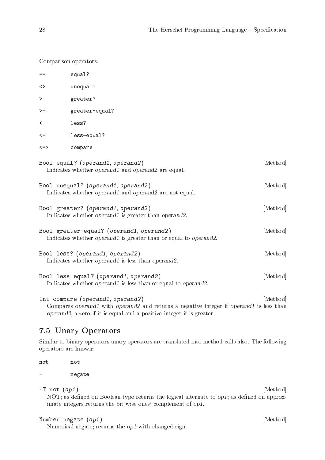<span id="page-33-0"></span>Comparison operators:

| $==$   | equal?                                                                                                                      |          |
|--------|-----------------------------------------------------------------------------------------------------------------------------|----------|
| <>     | unequal?                                                                                                                    |          |
| $\geq$ | greater?                                                                                                                    |          |
| $>=$   | greater-equal?                                                                                                              |          |
| ≺      | less?                                                                                                                       |          |
| $\leq$ | less-equal?                                                                                                                 |          |
| <=>    | compare                                                                                                                     |          |
|        | Bool equal? (operand1, operand2)<br>Indicates whether operand1 and operand2 are equal.                                      | [Method] |
|        | Bool unequal? (operand1, operand2)<br>Indicates whether operand1 and operand2 are not equal.                                | [Method] |
|        | Bool greater? (operand1, operand2)<br>Indicates whether operand1 is greater than operand2.                                  | [Method] |
|        | Bool greater-equal? (operand1, operand2)<br>Indicates whether <i>operand1</i> is greater than or equal to <i>operand2</i> . | [Method] |
|        | Bool less? (operand1, operand2)<br>Indicates whether operand1 is less than operand2.                                        | [Method] |
|        | Bool less-equal? (operand1, operand2)<br>Indicates whether <i>operand1</i> is less than or equal to <i>operand2</i> .       | [Method] |
|        |                                                                                                                             |          |

Int compare (operand1, operand2) [Method] Compares operand1 with operand2 and returns a negative integer if operand1 is less than operand2, a zero if it is equal and a positive integer if is greater.

# 7.5 Unary Operators

Similar to binary operators unary operators are translated into method calls also. The following operators are known:

not not

- negate

'T not  $(op1)$  [Method]

NOT; as defined on Boolean type returns the logical alternate to op1; as defined on approximate integers returns the bit wise ones' complement of op1.

Number negate  $(op1)$  [Method]

Numerical negate; returns the op1 with changed sign.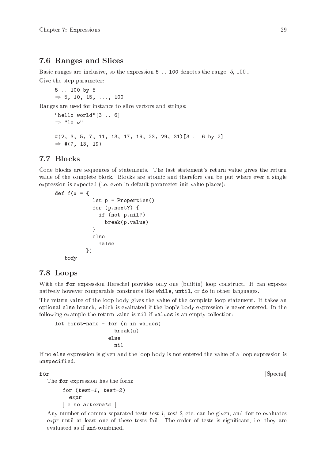# <span id="page-34-0"></span>7.6 Ranges and Slices

Basic ranges are inclusive, so the expression 5 .. 100 denotes the range [5, 100]. Give the step parameter:

```
5 .. 100 by 5
\Rightarrow 5, 10, 15, ..., 100
```
Ranges are used for instance to slice vectors and strings:

```
"hello world"[3 .. 6]
\Rightarrow "lo w"
#(2, 3, 5, 7, 11, 13, 17, 19, 23, 29, 31)[3 .. 6 by 2]
\Rightarrow #(7, 13, 19)
```
# <span id="page-34-1"></span>7.7 Blocks

Code blocks are sequences of statements. The last statement's return value gives the return value of the complete block. Blocks are atomic and therefore can be put where ever a single expression is expected (i.e. even in default parameter init value places):

```
def f(x) = \{let p = Properties()
             for (p.next?) {
               if (not p.nil?)
                 break(p.value)
             }
             else
               false
           })
   body
```
## 7.8 Loops

With the for expression Herschel provides only one (builtin) loop construct. It can express natively however comparable constructs like while, until, or do in other languages.

The return value of the loop body gives the value of the complete loop statement. It takes an optional else branch, which is evaluated if the loop's body expression is never entered. In the following example the return value is nil if values is an empty collection:

```
let first-name = for (n in values)
                    break(n)
                  else
                    nil
```
If no else expression is given and the loop body is not entered the value of a loop expression is unspecified.

The for expression has the form:

```
for (test-1, test-2)
  expr
[ else alternate ]
```
Any number of comma separated tests test-1, test-2, etc. can be given, and for re-evaluates expr until at least one of these tests fail. The order of tests is significant, i.e. they are evaluated as if and-combined.

for [Special]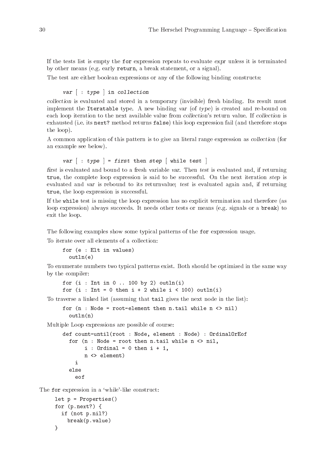<span id="page-35-0"></span>If the tests list is empty the for expression repeats to evaluate expr unless it is terminated by other means (e.g. early return, a break statement, or a signal).

The test are either boolean expressions or any of the following binding constructs:

```
var [ : type ] in collection
```
collection is evaluated and stored in a temporary (invisible) fresh binding. Its result must implement the Iteratable type. A new binding var (of type) is created and re-bound on each loop iteration to the next available value from collection's return value. If collection is exhausted (i.e. its next? method returns false) this loop expression fail (and therefore stops the loop).

A common application of this pattern is to give an literal range expression as collection (for an example see below).

var  $\lceil$  : type  $\rceil$  = first then step  $\lceil$  while test  $\rceil$ 

first is evaluated and bound to a fresh variable var. Then test is evaluated and, if returning true, the complete loop expression is said to be successful. On the next iteration step is evaluated and var is rebound to its returnvalue; test is evaluated again and, if returning true, the loop expression is successful.

If the while test is missing the loop expression has no explicit termination and therefore (as loop expression) always succeeds. It needs other tests or means (e.g. signals or a break) to exit the loop.

The following examples show some typical patterns of the for expression usage.

To iterate over all elements of a collection:

for (e : Elt in values) outln(e)

To enumerate numbers two typical patterns exist. Both should be optimized in the same way by the compiler:

for  $(i : Int in 0 ... 100 by 2) outln(i)$ for (i : Int = 0 then i + 2 while i < 100) outln(i)

To traverse a linked list (assuming that tail gives the next node in the list):

```
for (n : Node = root-element then n.tail while n <> nil)
  outln(n)
```
Multiple Loop expressions are possible of course:

```
def count-until(root : Node, element : Node) : OrdinalOrEof
  for (n : Node = root then n.tail while n < nil,
       i : Ordinal = 0 then i + 1,
       n <> element)
    i
  else
    eof
```
The for expression in a 'while'-like construct:

```
let p = Properties()
for (p.next?) {
  if (not p.nil?)
    break(p.value)
}
```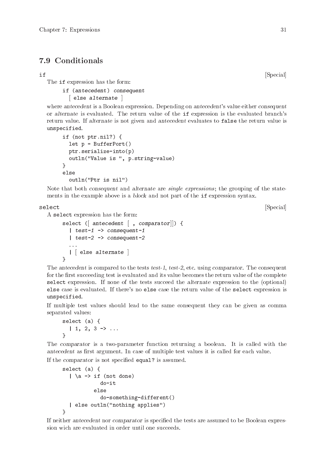# <span id="page-36-0"></span>7.9 Conditionals

The if expression has the form:

if (antecedent) consequent

[ else alternate ]

where antecedent is a Boolean expression. Depending on antecedent's value either consequent or alternate is evaluated. The return value of the if expression is the evaluated branch's return value. If alternate is not given and antecedent evaluates to false the return value is unspecified.

```
if (not ptr.nil?) {
  let p = BufferPort()
 ptr.serialize-into(p)
 outln("Value is ", p.string-value)
}
else
  outln("Ptr is nil")
```
Note that both consequent and alternate are single expressions; the grouping of the statements in the example above is a block and not part of the if expression syntax.

select [Special]

A select expression has the form:

```
select ([ antecedent [ , comparator]) {
  | test-1 -> consequent-1
  | test-2 -> consequent-2
  . . .
  | else alternate |
}
```
The antecedent is compared to the tests test-1, test-2, etc. using comparator. The consequent for the first succeeding test is evaluated and its value becomes the return value of the complete select expression. If none of the tests succeed the alternate expression to the (optional) else case is evaluated. If there's no else case the return value of the select expression is unspecified.

If multiple test values should lead to the same consequent they can be given as comma separated values:

```
select (a) {
   | 1, 2, 3 \rightarrow \dots}
```
The comparator is a two-parameter function returning a boolean. It is called with the antecedent as first argument. In case of multiple test values it is called for each value.

If the comparator is not specified equal? is assumed.

```
select (a) {
   |\nightharpoonup a \rightarrow \text{if} (not done)
                do-it
             else
                do-something-different()
   | else outln("nothing applies")
}
```
If neither antecedent nor comparator is specified the tests are assumed to be Boolean expression wich are evaluated in order until one succeeds.

if [Special]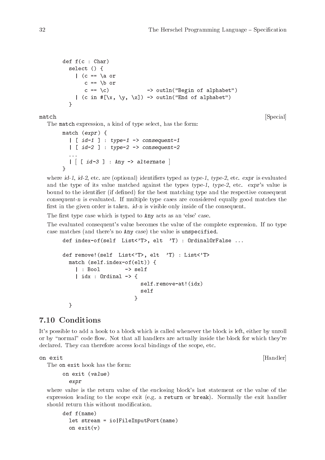```
def f(c : Char)
  select () {
    | (c == \a or
      c == \b{c == \ c) -> outln("Begin of alphabet")
    | (c in \#[\x, \ y, \ z]) -> outln("End of alphabet")
  }
```
match [Special]

The match expression, a kind of type select, has the form:

```
match (expr) {
      \left[\begin{array}{c} \text{if } d-1 \end{array}\right] : type-1 -> consequent-1
      \left| \right| [ id-2 ] : type-2 -> consequent-2
      . . .
     \left| \begin{array}{c} \begin{bmatrix} 1 & 0 & -3 \\ 0 & -3 & 1 \end{bmatrix} \end{array} \right| : Any \left| \begin{array}{c} -2 & 0 & 0 \\ 0 & -2 & 0 \\ 0 & 0 & 0 \end{array} \right|}
```
where  $id-1$ ,  $id-2$ , etc. are (optional) identifiers typed as  $type-1$ ,  $type-2$ , etc.  $expr$  is evaluated and the type of its value matched against the types type-1, type-2, etc. expr's value is bound to the identifier (if defined) for the best matching type and the respective consequent consequent-n is evaluated. If multiple type cases are considered equally good matches the first in the given order is taken. id-n is visible only inside of the consequent.

The first type case which is typed to Any acts as an 'else' case.

The evaluated consequent's value becomes the value of the complete expression. If no type case matches (and there's no Any case) the value is unspecified.

```
def index-of(self List<'T>, elt 'T) : OrdinalOrFalse ...
def remove!(self List<'T>, elt 'T) : List<'T>
  match (self.index-of(elt)) {
    | : Bool -> self
    | idx : Ordinal -> {
                        self.remove-at!(idx)
                        self
                      }
  }
```
# 7.10 Conditions

It's possible to add a hook to a block which is called whenever the block is left, either by unroll or by "normal" code flow. Not that all handlers are actually inside the block for which they're declared. They can therefore access local bindings of the scope, etc.

```
on exit [Handler]
```
The on exit hook has the form:

on exit (value) expr

where value is the return value of the enclosing block's last statement or the value of the expression leading to the scope exit (e.g. a return or break). Normally the exit handler should return this without modification.

```
def f(name)
  let stream = io|FileInputPort(name)
  on exit(v)
```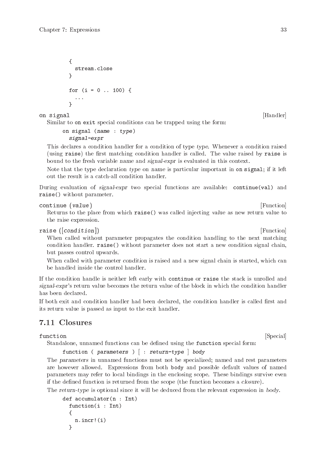```
{
  stream.close
}
for (i = 0 ... 100) {
  . . .
}
```
on signal [Handler] and  $[$ Handler]  $]$ 

Similar to on exit special conditions can be trapped using the form:

```
on signal (name : type)
  signal-expr
```
This declares a condition handler for a condition of type type. Whenever a condition raised (using raise) the first matching condition handler is called. The value raised by raise is bound to the fresh variable name and signal-expr is evaluated in this context.

Note that the type declaration type on name is particular important in on signal; if it left out the result is a catch-all condition handler.

During evaluation of signal-expr two special functions are available: continue(val) and raise() without parameter.

```
continue (value) [Function]
```
Returns to the place from which raise() was called injecting value as new return value to the raise expression.

raise ([condition]) [Function]

When called without parameter propagates the condition handling to the next matching condition handler. raise() without parameter does not start a new condition signal chain, but passes control upwards.

When called with parameter *condition* is raised and a new signal chain is started, which can be handled inside the control handler.

If the condition handle is neither left early with continue or raise the stack is unrolled and signal-expr's return value becomes the return value of the block in which the condition handler has been declared.

If both exit and condition handler had been declared, the condition handler is called first and its return value is passed as input to the exit handler.

# 7.11 Closures

function [Special]

Standalone, unnamed functions can be defined using the function special form:

function (  $parameters$  )  $\lceil$  :  $return-type \rceil$  body

The parameters in unnamed functions must not be specialized; named and rest parameters are however allowed. Expressions from both body and possible default values of named parameters may refer to local bindings in the enclosing scope. These bindings survive even if the defined function is returned from the scope (the function becomes a closure).

The return-type is optional since it will be deduced from the relevant expression in body.

```
def accumulator(n : Int)
  function(i : Int)
  {
    n.incr!(i)
  }
```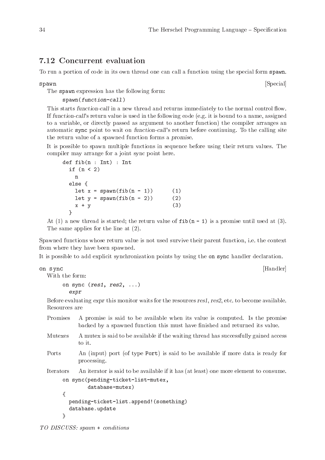# <span id="page-39-0"></span>7.12 Concurrent evaluation

To run a portion of code in its own thread one can call a function using the special form spawn.

The spawn expression has the following form:

spawn(function-call)

This starts function-call in a new thread and returns immediately to the normal control flow. If function-call's return value is used in the following code (e.g. it is bound to a name, assigned to a variable, or directly passed as argument to another function) the compiler arranges an automatic sync point to wait on function-call's return before continuing. To the calling site the return value of a spawned function forms a promise.

It is possible to spawn multiple functions in sequence before using their return values. The compiler may arrange for a joint sync point here.

```
def fib(n : Int) : Int
  if (n < 2)
   n
  else {
   let x = \text{spam}(\text{fib}(n - 1)) (1)
   let y = \text{spam}(\text{fib}(n - 2)) (2)
   x + y (3)
  }
```
At (1) a new thread is started; the return value of  $\texttt{fib}(n - 1)$  is a promise until used at (3). The same applies for the line at (2).

Spawned functions whose return value is not used survive their parent function, i.e. the context from where they have been spawned.

It is possible to add explicit synchronization points by using the on sync handler declaration.

on sync [Handler]

With the form: on sync  $(res1, res2, ...)$ expr

Before evaluating expr this monitor waits for the resources res1, res2, etc. to become available. Resources are

|         | Promises A promise is said to be available when its value is computed. Is the promise<br>backed by a spawned function this must have finished and returned its value. |
|---------|-----------------------------------------------------------------------------------------------------------------------------------------------------------------------|
| Mutexes | A mutex is said to be available if the waiting thread has successfully gained access                                                                                  |

- to it.
- Ports An (input) port (of type Port) is said to be available if more data is ready for processing.

Iterators An iterator is said to be available if it has (at least) one more element to consume.

```
on sync(pending-ticket-list-mutex,
        database-mutex)
{
 pending-ticket-list.append!(something)
 database.update
}
```
TO DISCUSS: spawn + conditions

spawn [Special]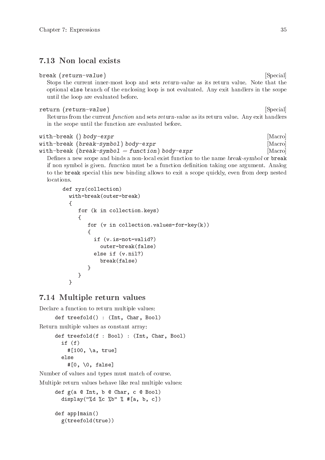# <span id="page-40-0"></span>7.13 Non local exists

```
break (return-value) [Special]
```
Stops the current inner-most loop and sets return-value as its return value. Note that the optional else branch of the enclosing loop is not evaluated. Any exit handlers in the scope until the loop are evaluated before.

#### return (return-value) [Special]

Returns from the current function and sets return-value as its return value. Any exit handlers in the scope until the function are evaluated before.

```
with-break () body\text{-}expr [Macro]
with-break (break-symbol) body-expr [Macro]
with-break (break-symbol = function) body-expr [Macro]
```
Defines a new scope and binds a non-local exist function to the name break-symbol or break if non symbol is given. function must be a function definition taking one argument. Analog to the break special this new binding allows to exit a scope quickly, even from deep nested locations.

```
def xyz(collection)
  with-break(outer-break)
  {
     for (k in collection.keys)
     {
        for (v in collection.values-for-key(k))
        {
          if (v.is-not-valid?)
            outer-break(false)
          else if (v.nil?)
            break(false)
        }
     }
  }
```
# 7.14 Multiple return values

Declare a function to return multiple values:

```
def treefold() : (Int, Char, Bool)
```
Return multiple values as constant array:

```
def treefold(f : Bool) : (Int, Char, Bool)
  if (f)
    #[100, \a, true]
  else
    #[0, \0, false]
```
Number of values and types must match of course.

Multiple return values behave like real multiple values:

```
def g(a @ Int, b @ Char, c @ Bool)
  display("%d %c %b" % #[a, b, c])
def app|main()
  g(treefold(true))
```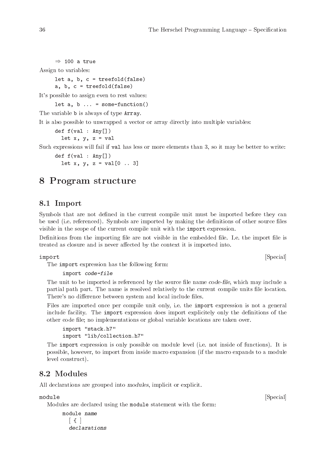```
\Rightarrow 100 a true
Assign to variables:
      let a, b, c = t \text{reefold}(\text{false})a, b, c = treefold(false)
It's possible to assign even to rest values:
      let a, b \ldots = some-function()
```
The variable **b** is always of type **Array**.

It is also possible to unwrapped a vector or array directly into multiple variables:

```
def f(val : Any[])
```
let  $x, y, z = val$ 

Such expressions will fail if val has less or more elements than 3, so it may be better to write:

def  $f(va1 : Any[])$ let  $x, y, z = val[0 ... 3]$ 

# 8 Program structure

## <span id="page-41-1"></span>8.1 Import

Symbols that are not defined in the current compile unit must be imported before they can be used (i.e. referenced). Symbols are imported by making the definitions of other source files visible in the scope of the current compile unit with the import expression.

Definitions from the importing file are not visible in the embedded file. I.e. the import file is treated as closure and is never affected by the context it is imported into.

The import expression has the following form:

import code-file

The unit to be imported is referenced by the source file name code-file, which may include a partial path part. The name is resolved relatively to the current compile units file location. There's no difference between system and local include files.

Files are imported once per compile unit only, i.e. the import expression is not a general include facility. The import expression does import explicitely only the definitions of the other code file; no implementations or global variable locations are taken over.

```
import "stack.h7"
import "lib/collection.h7"
```
The import expression is only possible on module level (i.e. not inside of functions). It is possible, however, to import from inside macro expansion (if the macro expands to a module level construct).

# 8.2 Modules

All declarations are grouped into modules, implicit or explicit.

Modules are declared using the module statement with the form:

```
module name
   \lceil \cdot \rceildeclarations
```
module [Special]

import [Special]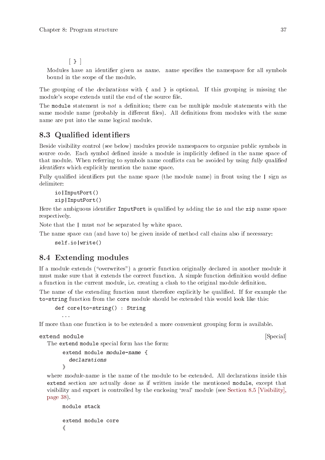$\begin{bmatrix} \end{bmatrix}$ 

<span id="page-42-0"></span>Modules have an identifier given as name. name specifies the namespace for all symbols bound in the scope of the module.

The grouping of the declarations with { and } is optional. If this grouping is missing the module's scope extends until the end of the source file.

The module statement is not a definition; there can be multiple module statements with the same module name (probably in different files). All definitions from modules with the same name are put into the same logical module.

# 8.3 Qualified identifiers

Beside visibility control (see below) modules provide namespaces to organize public symbols in source code. Each symbol defined inside a module is implicitly defined in the name space of that module. When referring to symbols name conflicts can be avoided by using fully qualified identifiers which explicitly mention the name space.

Fully qualified identifiers put the name space (the module name) in front using the | sign as delimiter:

```
io|InputPort()
zip|InputPort()
```
Here the ambiguous identifier InputPort is qualified by adding the io and the zip name space respectively.

Note that the | must not be separated by white space.

The name space can (and have to) be given inside of method call chains also if necessary:

```
self.io|write()
```
# 8.4 Extending modules

If a module extends ("overwrites") a generic function originally declared in another module it must make sure that it extends the correct function. A simple function definition would define a function in the current module, i.e. creating a clash to the original module definition.

The name of the extending function must therefore explicitly be qualified. If for example the to-string function from the core module should be extended this would look like this:

```
def core|to-string() : String
  ...
```
If more than one function is to be extended a more convenient grouping form is available.

```
extend module [Special]
```

```
The extend module special form has the form:
     extend module module-name {
       declarations
     }
```
where module-name is the name of the module to be extended. All declarations inside this extend section are actually done as if written inside the mentioned module, except that visibility and export is controlled by the enclosing 'real' module (see [Section 8.5 \[Visibility\],](#page-43-1) [page 38\)](#page-43-1).

```
module stack
extend module core
{
```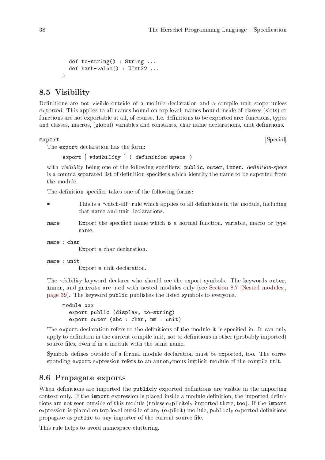```
def to-string() : String ...
 def hash-value() : UInt32 ...
}
```
# <span id="page-43-1"></span>8.5 Visibility

Definitions are not visible outside of a module declaration and a compile unit scope unless exported. This applies to all names bound on top level; names bound inside of classes (slots) or functions are not exportable at all, of course. I.e. definitions to be exported are: functions, types and classes, macros, (global) variables and constants, char name declarations, unit definitions.

export [Special]

The export declaration has the form:

export [ visibility ] ( definition-specs )

with visibility being one of the following specifiers: public, outer, inner. definition-specs is a comma separated list of definition specifiers which identify the name to be exported from the module.

The definition specifier takes one of the following forms:

| $\ast$      | This is a "catch-all" rule which applies to all definitions in the module, including<br>char name and unit declarations. |
|-------------|--------------------------------------------------------------------------------------------------------------------------|
| name        | Export the specified name which is a normal function, variable, macro or type<br>name.                                   |
| name : char | Export a char declaration.                                                                                               |
| name : unit | Export a unit declaration.                                                                                               |

The visibility keyword declares who should see the export symbols. The keywords outer, inner, and private are used with nested modules only (see [Section 8.7 \[Nested modules\],](#page-44-0) [page 39\)](#page-44-0). The keyword public publishes the listed symbols to everyone.

```
module xxx
  export public (display, to-string)
  export outer (abc : char, nm : unit)
```
The export declaration refers to the definitions of the module it is specified in. It can only apply to definition in the current compile unit, not to definitions in other (probably imported) source files, even if in a module with the same name.

Symbols defines outside of a formal module declaration must be exported, too. The corresponding export expression refers to an annonymous implicit module of the compile unit.

## 8.6 Propagate exports

When definitions are imported the publicly exported definitions are visible in the importing context only. If the import expression is placed inside a module definition, the imported definitions are not seen outside of this module (unless explicitely imported there, too). If the import expression is placed on top level outside of any (explicit) module, publicly exported definitions propagate as public to any importer of the current source file.

This rule helps to avoid namespace cluttering.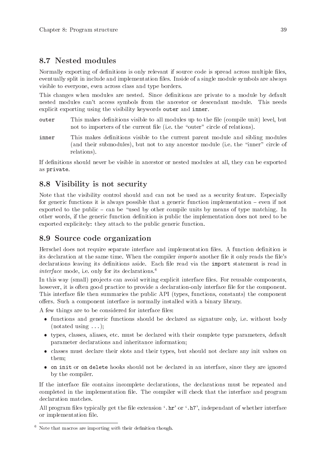# <span id="page-44-0"></span>8.7 Nested modules

Normally exporting of definitions is only relevant if source code is spread across multiple files, eventually split in include and implementation files. Inside of a single module symbols are always visible to everyone, even across class and type borders.

This changes when modules are nested. Since definitions are private to a module by default nested modules can't access symbols from the ancestor or descendant module. This needs explicit exporting using the visibility keywords outer and inner.

- outer This makes definitions visible to all modules up to the file (compile unit) level, but not to importers of the current file (i.e. the "outer" circle of relations).
- inner This makes definitions visible to the current parent module and sibling modules (and their submodules), but not to any ancestor module (i.e. the "inner" circle of relations).

If definitions should never be visible in ancestor or nested modules at all, they can be exported as private.

# 8.8 Visibility is not security

Note that the visibility control should and can not be used as a security feature. Especially for generic functions it is always possible that a generic function implementation – even if not exported to the public – can be "used by other compile units by means of type matching. In other words, if the generic function definition is public the implementation does not need to be exported explicitely: they attach to the public generic function.

# <span id="page-44-1"></span>8.9 Source code organization

Herschel does not require separate interface and implementation files. A function definition is its declaration at the same time. When the compiler imports another file it only reads the file's declarations leaving its definitions aside. Each file read via the import statement is read in *interface* mode, i.e. only for its declarations.<sup>6</sup>

In this way (small) projects can avoid writing explicit interface files. For reusable components, however, it is often good practice to provide a declaration-only interface file for the component. This interface file then summaries the public API (types, functions, constants) the component offers. Such a component interface is normally installed with a binary library.

A few things are to be considered for interface files:

- functions and generic functions should be declared as signature only, i.e. without body  $(notated using ...);$
- types, classes, aliases, etc. must be declared with their complete type parameters, default parameter declarations and inheritance information;
- classes must declare their slots and their types, but should not declare any init values on them;
- on init or on delete hooks should not be declared in an interface, since they are ignored by the compiler.

If the interface file contains incomplete declarations, the declarations must be repeated and completed in the implementation file. The compiler will check that the interface and program declaration matches.

All program files typically get the file extension '.hr' or '.h7', independant of whether interface or implementation file.

 $6$  Note that macros are importing with their definition though.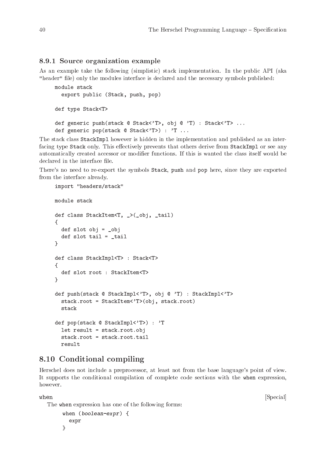#### <span id="page-45-0"></span>8.9.1 Source organization example

As an example take the following (simplistic) stack implementation. In the public API (aka "header" file) only the modules interface is declared and the necessary symbols published:

```
module stack
  export public (Stack, push, pop)
def type Stack<T>
def generic push(stack @ Stack<'T>, obj @ 'T) : Stack<'T> ...
def generic pop(stack @ Stack<'T>) : 'T ...
```
The stack class StackImpl however is hidden in the implementation and published as an interfacing type Stack only. This effectively prevents that others derive from StackImpl or see any automatically created accessor or modifier functions. If this is wanted the class itself would be declared in the interface file.

There's no need to re-export the symbols Stack, push and pop here, since they are exported from the interface already.

```
import "headers/stack"
module stack
def class StackItem<T, _>(_obj, _tail)
{
  def slot obj = _obj
  def slot tail = _tail
}
def class StackImpl<T> : Stack<T>
{
  def slot root : StackItem<T>
}
def push(stack @ StackImpl<'T>, obj @ 'T) : StackImpl<'T>
  stack.root = StackItem<'T>(obj, stack.root)
  stack
def pop(stack @ StackImpl<'T>) : 'T
  let result = stack.root.obj
  stack.root = stack.root.tail
  result
```
# <span id="page-45-1"></span>8.10 Conditional compiling

Herschel does not include a preprocessor, at least not from the base language's point of view. It supports the conditional compilation of complete code sections with the when expression, however.

The when expression has one of the following forms:

```
when (boolean-expr) {
  expr
}
```
when  $[\text{Special}]$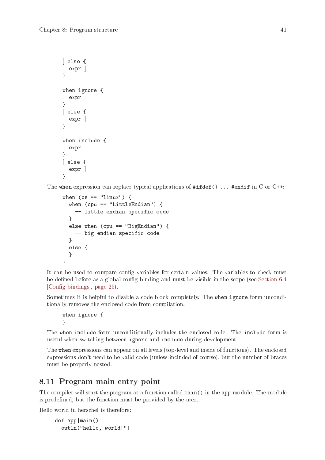```
[ else {
  expr ]
}
when ignore {
  expr
}
[ else {
  expr ]
}
when include {
  expr
}
[ else {
  expr ]
}
```
The when expression can replace typical applications of  $\#ifdef() \dots$  #endif in C or C++:

```
when (os == "linux") {
  when (cpu == "LittleEndian") {
    -- little endian specific code
  }
  else when (cpu == "BigEndian") {
    -- big endian specific code
  }
  else {
  }
}
```
It can be used to compare config variables for certain values. The variables to check must be defined before as a global config binding and must be visible in the scope (see [Section 6.4](#page-30-3) [\[Config bindings\], page 25\)](#page-30-3).

Sometimes it is helpful to disable a code block completely. The when ignore form unconditionally removes the enclosed code from compilation.

when ignore { }

The when include form unconditionally includes the enclosed code. The include form is useful when switching between ignore and include during development.

The when expressions can appear on all levels (top-level and inside of functions). The enclosed expressions don't need to be valid code (unless included of course), but the number of braces must be properly nested.

# 8.11 Program main entry point

The compiler will start the program at a function called main() in the app module. The module is predefined, but the function must be provided by the user.

Hello world in herschel is therefore:

```
def app|main()
  outln("hello, world!")
```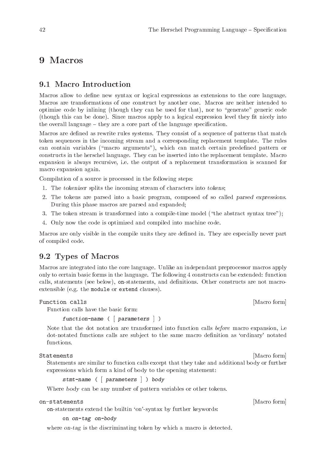# <span id="page-47-0"></span>9 Macros

# 9.1 Macro Introduction

Macros allow to define new syntax or logical expressions as extensions to the core language. Macros are transformations of one construct by another one. Macros are neither intended to optimize code by inlining (though they can be used for that), nor to "generate" generic code (though this can be done). Since macros apply to a logical expression level they fit nicely into the overall language – they are a core part of the language specification.

Macros are defined as rewrite rules systems. They consist of a sequence of patterns that match token sequences in the incoming stream and a corresponding replacement template. The rules can contain variables ("macro arguments"), which can match certain predefined pattern or constructs in the herschel language. They can be inserted into the replacement template. Macro expansion is always recursive, i.e. the output of a replacement transformation is scanned for macro expansion again.

Compilation of a source is processed in the following steps:

- 1. The tokenizer splits the incoming stream of characters into tokens;
- 2. The tokens are parsed into a basic program, composed of so called parsed expressions. During this phase macros are parsed and expanded;
- 3. The token stream is transformed into a compile-time model ("the abstract syntax tree");
- 4. Only now the code is optimized and compiled into machine code.

Macros are only visible in the compile units they are defined in. They are especially never part of compiled code.

## 9.2 Types of Macros

Macros are integrated into the core language. Unlike an independant preprocessor macros apply only to certain basic forms in the language. The following 4 constructs can be extended: function calls, statements (see below), on-statements, and definitions. Other constructs are not macroextensible (e.g. the module or extend clauses).

### Function calls [Macro form] [Macro form]

Function calls have the basic form:

function-name ( [ parameters ] )

Note that the dot notation are transformed into function calls *before* macro expansion, i.e. dot-notated functions calls are subject to the same macro definition as 'ordinary' notated functions.

Statements [Macro form]

Statements are similar to function calls except that they take and additional body or further expressions which form a kind of body to the opening statement:

stmt-name ( [ parameters ] ) body

Where body can be any number of pattern variables or other tokens.

on-statements [Macro form]

on-statements extend the builtin 'on'-syntax by further keywords:

on on-tag on-body

where on-tag is the discriminating token by which a macro is detected.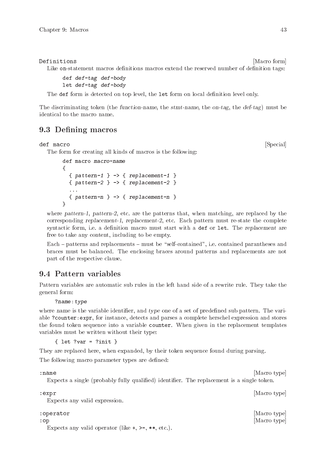#### <span id="page-48-0"></span>Definitions [Macro form]

Like on-statement macros definitions macros extend the reserved number of definition tags:

```
def def-tag def-body
let def-tag def-body
```
The def form is detected on top level, the let form on local definition level only.

The discriminating token (the function-name, the stmt-name, the on-tag, the def-tag) must be identical to the macro name.

# 9.3 Defining macros

#### def macro [Special]

The form for creating all kinds of macros is the following:

```
def macro macro-name
{
  { \} pattern-1 } -> { \} replacement-1 }\{ pattern-2 \} \rightarrow \{ replacement-2 \}...
  { \} pattern-n } -> { \} replacement-n }}
```
where pattern-1, pattern-2, etc. are the patterns that, when matching, are replaced by the corresponding replacement-1, replacement-2, etc. Each pattern must re-state the complete syntactic form, i.e. a definition macro must start with a def or let. The replacement are free to take any content, including to be empty.

Each – patterns and replacements – must be "self-contained", i.e. contained parantheses and braces must be balanced. The enclosing braces around patterns and replacements are not part of the respective clause.

# 9.4 Pattern variables

Pattern variables are automatic sub rules in the left hand side of a rewrite rule. They take the general form:

?name:type

where name is the variable identifier, and type one of a set of predefined sub pattern. The variable ?counter:expr, for instance, detects and parses a complete herschel expression and stores the found token sequence into a variable counter. When given in the replacement templates variables must be written without their type:

{ let ?var = ?init }

They are replaced here, when expanded, by their token sequence found during parsing.

The following macro parameter types are defined:

: name [Macro type] [Macro type]

Expects a single (probably fully qualified) identifier. The replacement is a single token.

: expr [Macro type]

Expects any valid expression.

#### : operator [Macro type]

:op [Macro type]

Expects any valid operator (like  $\pm$ ,  $\geq$ ,  $\ast \ast$ , etc.).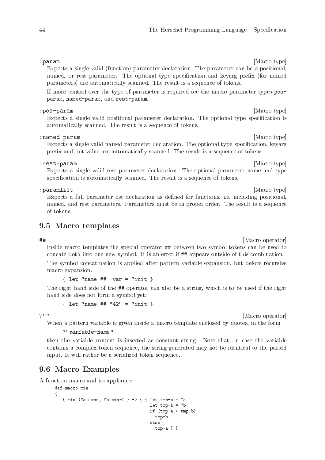#### <span id="page-49-0"></span>: param [Macro type] [Macro type]

Expects a single valid (function) parameter declaration. The parameter can be a positional, named, or rest parameter. The optional type specification and keyarg prefix (for named parameters) are automatically scanned. The result is a sequence of tokens.

If more control over the type of parameter is required see the macro parameter types posparam, named-param, and rest-param.

#### : pos-param [Macro type] [Macro type]

Expects a single valid positional parameter declaration. The optional type specification is automatically scanned. The result is a sequence of tokens.

#### : named-param [Macro type] [Macro type]

Expects a single valid named parameter declaration. The optional type specification, keyarg prefix and init value are automatically scanned. The result is a sequence of tokens.

#### : rest-param [Macro type] [Macro type]

Expects a single valid rest parameter declaration. The optional parameter name and type specification is automatically scanned. The result is a sequence of tokens.

#### : paramlist [Macro type] [Macro type]  $\blacksquare$

Expects a full parameter list declaration as defined for functions, i.e. including positional, named, and rest parameters. Parameters must be in proper order. The result is a sequence of tokens.

# 9.5 Macro templates

## [Macro operator]

Inside macro templates the special operator ## between two symbol tokens can be used to concate both into one new symbol. It is an error if ## appears outside of this combination. The symbol concatination is applied after pattern variable expansion, but before recursive macro expansion.

 $\{$  let ?name ## -var = ?init }

The right hand side of the ## operator can also be a string, which is to be used if the right hand side does not form a symbol yet:

{ let ?name ## "42" = ?init }

?"" [Macro operator]

When a pattern variable is given inside a macro template enclosed by quotes, in the form

?"variable-name"

then the variable content is inserted as constant string. Note that, in case the variable contains a complex token sequence, the string generated may not be identical to the parsed input. It will rather be a serialized token sequence.

# 9.6 Macro Examples

A function macro and its appliance:

```
def macro min
{
   {min (?a:expr, ?b:expr) } -> { { let tmp-a = ?a
                                     let tmp-b = ?bif (tmp-a > tmp-b)tmp-b
                                     else
                                       tmp-a } }
```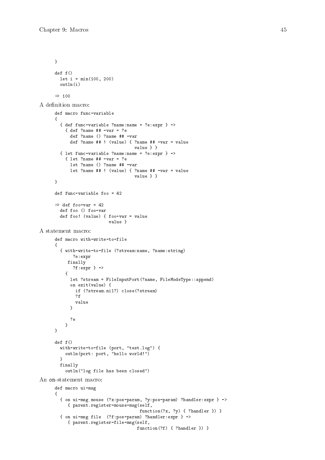```
}
      def f()
       let i = min(100, 200)outln(i)
      \Rightarrow 100
A definition macro:
      def macro func-variable
      {
        { def func-variable ?name:name = ?e:expr } ->
          { def ?name ## -var = ?e
            def ?name () ?name ## -var
            def ?name ## ! (value) { ?name ## -var = value
                                     value } }
        \{ let func-variable ?name:name = ?e:expr \} ->
          { let ?name ## -var = ?e
            let ?name () ?name ## -var
            let ?name ## ! (value) { ?name ## -var = value
                                     value } }
      }
      def func-variable foo = 42
      \Rightarrow def foo-var = 42
        def foo () foo-var
        def foo! (value) { foo-var = value
                           value }
A statement macro:
      def macro with-write-to-file
      {
        { with-write-to-file (?stream:name, ?name:string)
            ?e:expr
           finally
             ?f:expr } ->
          {
            let ?stream = FileInputPort(?name, FileModeType::append)
            on exit(value) {
             if (?stream.nil?) close(?stream)
              ?f
              value
            }
            ?e
          }
      }
      def f()
        with-write-to-file (port, "test.log") {
         outln(port: port, "hello world!")
        }
        finally
          outln("log file has been closed")
An on-statement macro:
      def macro ui-msg
      {
        { on ui-msg mouse (?x:pos-param, ?y:pos-param) ?handler:expr } ->
           { parent.register-mouse-msg(self,
                                       function(?x, ?y) { ?handler }) }
        { on ui-msg file (?f:pos-param) ?handler:expr } ->
           { parent.register-file-msg(self,
```
function(?f) { ?handler }) }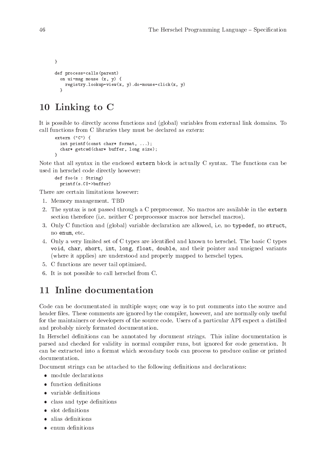```
}
def process-calls(parent)
  on ui-msg mouse (x, y) {
   registry.lookup-view(x, y).do-mouse-click(x, y)
  }
```
# 10 Linking to C

It is possible to directly access functions and (global) variables from external link domains. To call functions from C libraries they must be declared as extern:

```
extern ("C") {
  int printf(const char* format, ...);
  char* getcwd(char* buffer, long size);
}
```
Note that all syntax in the enclosed extern block is actually C syntax. The functions can be used in herschel code directly however:

```
def foo(s : String)
  printf(s.C|->buffer)
```
There are certain limitations however:

- 1. Memory management. TBD
- 2. The syntax is not passed through a C preprocessor. No macros are available in the extern section therefore (i.e. neither C preprocessor macros nor herschel macros).
- 3. Only C function and (global) variable declaration are allowed, i.e. no typedef, no struct, no enum, etc.
- 4. Only a very limited set of C types are identified and known to herschel. The basic C types void, char, short, int, long, float, double, and their pointer and unsigned variants (where it applies) are understood and properly mapped to herschel types.
- 5. C functions are never tail optimized.
- 6. It is not possible to call herschel from C.

# 11 Inline documentation

Code can be documentated in multiple ways; one way is to put comments into the source and header files. These comments are ignored by the compiler, however, and are normally only useful for the maintainers or developers of the source code. Users of a particular API expect a distilled and probably nicely formated documentation.

In Herschel definitions can be annotated by document strings. This inline documentation is parsed and checked for validity in normal compiler runs, but ignored for code generation. It can be extracted into a format which secondary tools can process to produce online or printed documentation.

Document strings can be attached to the following definitions and declarations:

- module declarations
- function definitions
- variable definitions
- class and type definitions
- slot definitions
- alias definitions
- enum definitions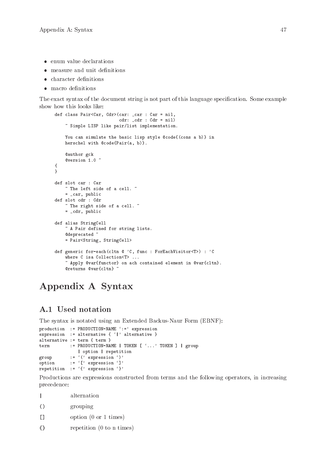- <span id="page-52-0"></span>enum value declarations
- measure and unit definitions
- character definitions
- macro definitions

The exact syntax of the document string is not part of this language specification. Some example show how this looks like:

```
def class Pair<Car, Cdr>(car: _car : Car = nil,
                          cdr: _cdr : Cdr = nil)
    ~ Simple LISP like pair/list implementation.
    You can simulate the basic lisp style @code{(cons a b)} in
    herschel with @code{Pair(a, b)}.
    @author gck
    @version 1.0 ~
{
}
def slot car : Car
    ~ The left side of a cell. ~
    = _car, public
def slot cdr : Cdr
    \tilde{ } The right side of a cell. \tilde{ }= _cdr, public
def alias StringCell
    ~ A Pair defined for string lists.
    @deprecated ~
    = Pair<String, StringCell>
def generic for-each(cltn @ 'C, func : ForEachVisitor<T>) : 'C
    where C isa Collection<T> ...
    ~ Apply @var{functor} on ach contained element in @var{cltn}.
    @returns @var{cltn} ~
```
# Appendix A Syntax

# A.1 Used notation

The syntax is notated using an Extended Backus-Naur Form (EBNF):

```
production := PRODUCTION-NAME ':=' expression
expression := alternative { '|' alternative }
alternative := term { term }
term := PRODUCTION-NAME | TOKEN [ '...' TOKEN ] | group
               | option | repetition
group := '(' expression ')'
group<br>
option := '[' expression ']'<br>
\begin{bmatrix} \n\end{bmatrix}repetition := '{' expression '}'
```
Productions are expressions constructed from terms and the following operators, in increasing precedence:

|                  | alternation                              |
|------------------|------------------------------------------|
| $\left( \right)$ | grouping                                 |
| $\perp$          | option $(0 \text{ or } 1 \text{ times})$ |

{} repetition (0 to n times)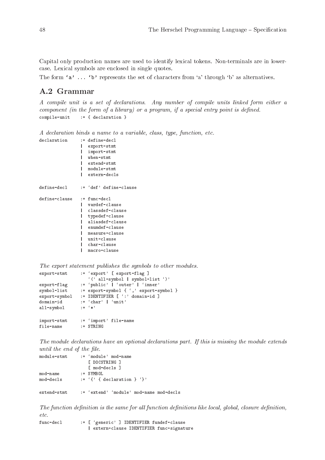<span id="page-53-0"></span>Capital only production names are used to identify lexical tokens. Non-terminals are in lowercase. Lexical symbols are enclosed in single quotes.

The form 'a' ... 'b' represents the set of characters from 'a' through 'b' as alternatives.

# A.2 Grammar

A compile unit is a set of declarations. Any number of compile units linked form either a component (in the form of a library) or a program, if a special entry point is defined. compile-unit := { declaration }

A declaration binds a name to a variable, class, type, function, etc.

```
declaration := define-decl
               | export-stmt
                 | import-stmt
               | when-stmt
               | extend-stmt
               | module-stmt
               | extern-decls
define-decl := 'def' define-clause
define-clause := func-decl
               | vardef-clause
               | classdef-clause
               | typedef-clause
               | aliasdef-clause
               | enumdef-clause
                 measure-clause
                 unit-clause
               | char-clause
               | macro-clause
```

```
The export statement publishes the symbols to other modules.
export-stmt := 'export' [ export-flag ]
                             '(' all-symbol | symbol-list ')'
\begin{array}{lll} \texttt{export-flag} & \texttt{:= } \texttt{'public'} \mid 'outer' \mid 'inner' \\ \texttt{symbol-list} & \texttt{:= } \texttt{export-symbol} \{ ', ' { \texttt{~} } \texttt{approx-t-s} \} \end{array}symbol-list := export-symbol { ', ' export-symbol }<br>export-symbol := IDENTIFIER [ ': ' domain-id ]
export-symbol := IDENTIFIER [ ':' domain-id ]<br>domain-id := 'char' | 'unit'
                         e := 'char' || 'unit'<br>e := ' *'all-symbol
import-stmt := 'import' file-name
file-name := STRING
```
The module declarations have an optional declarations part. If this is missing the module extends until the end of the file.

```
\text{module} - \texttt{stmt} \qquad : = \text{ 'module ' mod} - \texttt{name}[ DOCSTRING ]
                          [ mod-decls ]
mod-name := SYMBOL<br>mod-decls := 'f' f
                     \mathbf{u} := \{ \{ \} { declaration } '}'
extend-stmt := 'extend' 'module' mod-name mod-decls
```
The function definition is the same for all function definitions like local, global, closure definition, etc.

```
func-decl := [ 'generic' ] IDENTIFIER fundef-clause
                  | extern-clause IDENTIFIER func-signature
```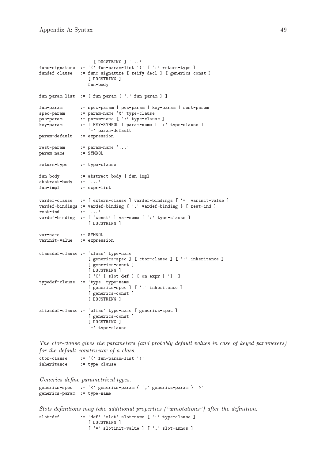```
[ DOCSTRING ] '...'
func-signature := '(' fun-param-list ')' [ ':' return-type ]
fundef-clause := func-signature [ reify-decl ] [ generics-const ]
                   [ DOCSTRING ]
                   fun-body
fun-param-list := [ fun-param \{ ',' fun-param \} ]
fun-param := spec-param | pos-param | key-param | rest-param
spec-param := param-name '@' type-clause<br>pos-param := param-name [':' type-clau
                := param-name [ ': ' type-clause ]
key-param := [ KEY-SYMBOL ] param-name [ ':' type-clause ]
                  '=' param-default
param-default := expression
rest-param := param-name '...'<br>param-name := SYMBOL
param-name
return-type := type-clause
fun-body := abstract-body | fun-impl
abstract-body := '...'
fun-impl := expr-list
vardef-clause := [ extern-clause ] vardef-bindings [ '=' varinit-value ]
vardef-bindings := vardef-binding { \lq, ' vardef-binding } [ rest-ind ]
rest-ind := \cdot \ldots'
vardef-binding := [ 'const' ] var-name [ ':' type-clause ]
                   [ DOCSTRING ]
var-name := SYMBOL
varinit-value := expression
classdef-clause := 'class' type-name
                   [ generics-spec ] [ ctor-clause ] [ ':' inheritance ]
                   [ generics-const ]
                   [ DOCSTRING ]
                   [ '{' { slot-def } { on-expr } '}' ]
typedef-clause := 'type' type-name
                   [ generics-spec ] [ ':' inheritance ]
                   [ generics-const ]
                   [ DOCSTRING ]
aliasdef-clause := 'alias' type-name [ generics-spec ]
                   [ generics-const ]
                   [ DOCSTRING ]
                   ' = ' type-clause
```
The ctor-clause gives the parameters (and probably default values in case of keyed parameters) for the default constructor of a class.

 $\begin{array}{lll} \texttt{ctor-clause} & := & ( \text{'} \texttt{ fun-param-list} \text{ } ' ) \text{'} \\ \texttt{inheritance} & := \texttt{two-clause} \end{array}$ := type-clause

```
Generics define parametrized types.
generics-spec := \langle \langle \rangle generics-param { \langle \rangle } generics-param } \langle \ranglegenerics-param := type-name
```
Slots definitions may take additional properties ("annotations") after the definition. slot-def := 'def' 'slot' slot-name [ ':' type-clause ] [ DOCSTRING ]  $[ '=' slotinit-value ] [ ' , ' slot-annos ]$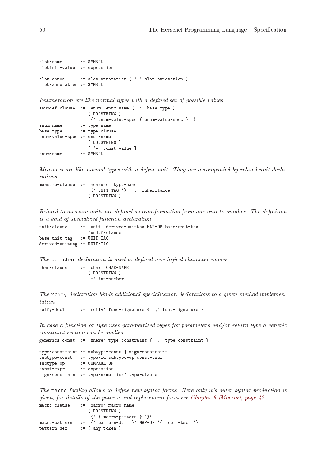```
slot-name := SYMBOL
slotinit-value := expression
slot-annos := slot-annotation { ', ' slot-annotation }
slot-annotation := SYMBOL
```
Enumeration are like normal types with a defined set of possible values.

```
enumdef-clause := 'enum' enum-name [ ':' base-type ]
                   [ DOCSTRING ]
                   '{' enum-value-spec { enum-value-spec } '}'
enum-name := type-name
base-type := type-clause
enum-value-spec := enum-name
                   [ DOCSTRING ]
                [ ( = ) const-value ]<br>: = SYMBOL
enum-name
```
Measures are like normal types with a define unit. They are accompanied by related unit declarations.

```
measure-clause := 'measure' type-name
                  '(' UNIT-TAG ')' ':' inheritance
                   [ DOCSTRING ]
```
Related to measure units are defined as transformation from one unit to another. The definition is a kind of specialized function declaration.

```
unit-clause := 'unit' derived-unittag MAP-OP base-unit-tag
                  fundef-clause
base-unit-tag := UNIT-TAG
derived-unittag := UNIT-TAG
```
The def char declaration is used to defined new logical character names. char-clause := 'char' CHAR-NAME

```
[ DOCSTRING ]
' =' int-number
```
The reify declaration binds additional specialization declarations to a given method implementation.

```
reify-decl := 'reify' func-signature { ',' func-signature }
```
In case a function or type uses parametrized types for parameters and/or return type a generic constraint section can be applied.

```
generics-const := 'where' type-constraint { ',' type-constraint }
```

```
type-constraint := subtype-const | sign-constraint
subtype-const := type-id subtype-op const-expr
subtype-op := COMPARE-OP
const-expr := expression
sign-constraint := type-name 'isa' type-clause
```
The macro facility allows to define new syntax forms. Here only it's outer syntax production is given, for details of the pattern and replacement form see Chapter 9 [Macros], page  $42$ .

```
macro-clause := 'macro' macro-name
                  [ DOCSTRING ]
                 '{' { macro-pattern } '}'
macro-pattern := '{' pattern-def '}' MAP-OP '{' rplc-text '}'
pattern-def := { any token }
```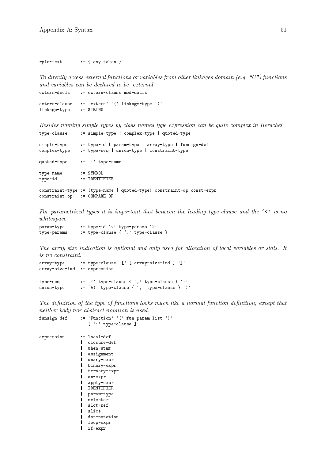rplc-text := { any token }

To directly access external functions or variables from other linkages domain (e.g. "C") functions and variables can be declared to be 'external'. extern-decls := extern-clause mod-decls

```
extern-clause := 'extern' '(' linkage-type ')'
linkage-type := STRING
```
Besides naming simple types by class names type expression can be quite complex in Herschel. type-clause := simple-type | complex-type | quoted-type

| simple-type<br>complex-type     | := type-id   param-type   array-type   funsign-def<br>:= type-seq   union-type   constraint-type |
|---------------------------------|--------------------------------------------------------------------------------------------------|
| quoted-type                     | $:=$ $\langle \cdot \rangle$ type-name                                                           |
| type-name<br>type-id            | $:=$ SYMBOL<br>$:=$ IDENTIFIER                                                                   |
| $constraint-op$ := $COMPARE-OP$ | constraint-type := (type-name   quoted-type) constraint-op const-expr                            |

For parametrized types it is important that between the leading type-clause and the  $\langle \cdot \rangle$  is no whitespace.

param-type := type-id '<' type-params '>' type-params := type-clause  $\{\cdot',\cdot\}$  type-clause  $\}$ 

The array size indication is optional and only used for allocation of local variables or slots. It is no constraint.

```
array-type := type-clause '[' [ array-size-ind ] ']'
array-size-ind := expression
type-seq := '(' type-clause {}', ' type-clause {}')'union-type := '&(' type-clause { ',' type-clause } ')'
```
The definition of the type of functions looks much like a normal function definition, except that neither body nor abstract notation is used.

```
funsign-def := 'Function' '(' fun-param-list ')'
                  [':' type-clause ]
expression := local-def
               | closure-def
               | when-stmt
                | assignment
               | unary-expr
               | binary-expr
               | ternary-expr
                  | on-expr
                  | apply-expr
                  | IDENTIFIER
                | param-type
                 | selector
                  | slot-ref
                  slice
               | dot-notation
               | loop-expr
               | if-expr
```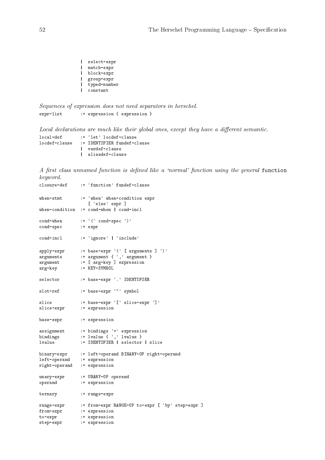```
| select-expr
| match-expr
| block-expr
| group-expr
| typed-number
| constant
```
Sequences of expression does not need separators in herschel. expr-list := expression { expression }

Local declarations are much like their global ones, except they have a different semantic. local-def := 'let' locdef-clause<br>locdef-clause := IDENTIFIER fundef-c := IDENTIFIER fundef-clause | vardef-clause | aliasdef-clause

A first class unnamed function is defined like a 'normal' function using the general function keyword.

| closure-def                | := 'function' fundef-clause                         |
|----------------------------|-----------------------------------------------------|
| when-stmt                  | := 'when' when-condition expr<br>[ 'else' expr ]    |
|                            | when-condition $:=$ cond-when $ $ cond-incl         |
| cond-when                  | $:=$ '(' cond-spec')'                               |
| cond-spec                  | $:=$ expr                                           |
| cond-incl                  | := 'ignore'   'include'                             |
| apply-expr                 | $:=$ base-expr '(' [ arguments ] ')'                |
| arguments                  | $:=$ argument { $\prime$ , $\prime$ argument }      |
| argument                   | := [ arg-key ] expression<br>:= KEY-SYMBOL          |
| arg-key                    |                                                     |
| selector                   | := base-expr '.' IDENTIFIER                         |
| slot-ref                   | := base-expr '"' symbol                             |
| slice                      | := base-expr '[' slice-expr ']'                     |
| slice-expr                 | := expression                                       |
| base-expr                  | := expression                                       |
| assignment                 | := bindings '=' expression                          |
| bindings                   | $:=$ lvalue $\{ \lq, \lq$ lvalue $\}$               |
| lvalue                     | := IDENTIFIER   selector   slice                    |
|                            | binary-expr := left-operand BINARY-OP right-operand |
| left-operand := expression |                                                     |
| right-operand              | := expression                                       |
| unary-expr                 | := UNARY-OP operand                                 |
| operand                    | := expression                                       |
| ternary                    | $:=$ range-expr                                     |
| $range$ -expr              | := from-expr RANGE-OP to-expr [ 'by' step-expr ]    |
| from-expr                  | := expression                                       |
| to-expr                    | := expression                                       |
| step-expr                  | := expression                                       |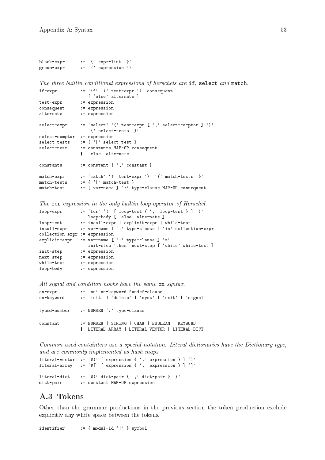```
block-expr := '{' expr-list '}'
group-expr := '(' expression ')'
```
The three builtin conditional expressions of herschels are if, select and match.

```
if-expr := 'if'' (' test-expr ')' consequent
                  [ 'else' alternate ]
test-expr := expression
consequent := expression
alternate := expression
select-expr := 'select' '(' test-expr [',' select-comptor ] ')'
                   '{' select-tests '}'
select-comptor := expression
select-tests := { '|' select-test }<br>select-test := constants MAP-OP co
               := constants MAP-OP consequent
                | 'else' alternate
constants := constant { ',' constant }
match-expr := 'match' '(' test-expr ')' '{' match-tests '}'
match-tests := { '|' match-test }<br>match-test := [ var-name ] ':' t
               := [ var-name ] ':' type-clause MAP-OP consequent
```
The for expression in the only builtin loop operator of Herschel.

```
loop-expr := 'for' '(' [ loop-test { ',' loop-test } ] ')'
                  loop-body [ 'else' alternate ]
loop-test := incoll-expr | explicit-expr | while-test
incoll-expr := var-name [ ':' type-clause ] 'in' collection-expr
collection-expr := expression
explicit-expr := var-name [ ' : ' ' type-clause ] ' ='init-step 'then' next-step [ 'while' while-test ]
init-step := expression
next-step := expression<br>while-test := expression
              := expression
loop-body := expression
```
All signal and condition hooks have the same on syntax.

| on-expr  | := 'on' on-keyword fundef-clause                                                                                                           |
|----------|--------------------------------------------------------------------------------------------------------------------------------------------|
|          | on-keyword := 'init'   'delete'   'sync'   'exit'   'signal'                                                                               |
|          | typed-number := NUMBER ':' type-clause                                                                                                     |
| constant | $:=$ NUMBER $\parallel$ STRING $\parallel$ CHAR $\parallel$ BOOLEAN $\parallel$ KEYWORD<br>  LITERAL-ARRAY   LITERAL-VECTOR   LITERAL-DICT |

Common used containters use a special notation. Literal dictionaries have the Dictionary type, and are commonly implemented as hash maps.

```
literal-vector := '#(' [ expression { ',' expression } ] ')'
literal-array := '#[' [ expression { ',' expression } ] ']'
literal-dict := '#(' dict-pair { ',' dict-pair } ')'
dict-pair := constant MAP-OP expression
```
# A.3 Tokens

Other than the grammar productions in the previous section the token production exclude explicitly any white space between the tokens.

identifier  $:= \{ \text{ modul-id } \{ | \} \}$  symbol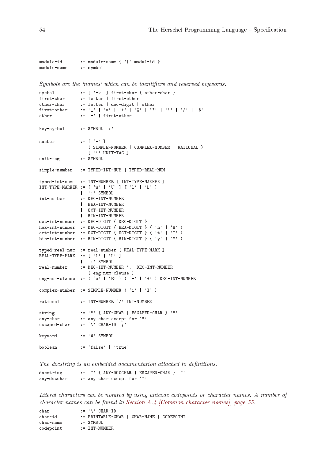```
module-id := module-name { '|' modul-id }
module-name := symbol
```
Symbols are the 'names' which can be identifiers and reserved keywords.

```
symbol := [\rangle \rightarrow \rangle ] first-char { other-char }<br>first-char := letter | first-other
first-char := letter | first-other<br>other-char := letter | dec-digit |
other-char := letter | dec-digit | other<br>first-other := '_' | '*' | '*' | '%' | '?
                  f:= \{y \mid '*, y \mid ''+y \mid 'y' \mid 'y' \mid 'y' \mid 'y' \mid 'y' \mid 'y' \}other := '-' | first-other
key-symbol := SYMBOL ':'
number := \begin{bmatrix} -1 & 1 \end{bmatrix}( SIMPLE-NUMBER | COMPLEX-NUMBER | RATIONAL )
                      [ \cdots UNIT-TAG ]
unit-tag := SYMBOL
simple-number := TYPED-INT-NUM | TYPED-REAL-NUM
typed-int-num := INT-NUMBER [ INT-TYPE-MARKER ]
INT-TYPE-MARKER := [ 'u' ] 'U' ] [ '1' ] 'L' ]| ':' SYMBOL
int-number := DEC-INT-NUMBER
                   | HEX-INT-NUMBER
                   | OCT-INT-NUMBER
                  | BIN-INT-NUMBER
dec-int-number := DEC-DIGIT { DEC-DIGIT }
\verb|hex-int-number := DEC-DIGIT { HEX-DIGIT { (``h' ' "''' )} }\verb|oct-int-number := \verb|DCT-DIGIT { | } CCT-DIGIT { | } ( 't' \ | \ 'T' \ )bin-int-number := BIN-DIGIT { BIN-DIGIT } ( 'y' | 'Y' )
typed-real-num := real-number [ REAL-TYPE-MARK ]
REAL-TYPE-MARK := [ '1' | 'L' ]| ':' SYMBOL
real-number := DEC-INT-NUMBER '.' DEC-INT-NUMBER
                     [ eng-num-clause ]
eng-num-clause := ({^{\ell}e}^{\gamma} | ^{\ell}E^{\gamma} ) ( ^{\ell}-' | ^{\ell}+' ) DEC-INT-NUMBER
complex-number := SIMPLE-NUMBER ('i' | 'I')
rational := INT-NUMBER '/' INT-NUMBER
string := '"' { ANY-CHAR | ESCAPED-CHAR } '"'<br>any-char := any char except for '"'
any-char := any char except for '"'<br>escaped-char := '\' CHAR-ID ';'
                  \vdots = ' \setminus ' CHAR-ID ';'
keyword := '#' SYMBOL
boolean := 'false' | 'true'
```
The docstring is an embedded documentation attached to definitions.

docstring  $:=$  '"' { ANY-DOCCHAR | ESCAPED-CHAR } '"' any-docchar  $:=$  any char except for  $'$ 

Literal characters can be notated by using unicode codepoints or character names. A number of character names can be found in [Section A.4 \[Common character names\], page 55.](#page-60-1)

```
char := ' \vee ' CHAR-ID
char-id := PRINTABLE-CHAR | CHAR-NAME | CODEPOINT<br>char-name := SYMBOL
char-name
codepoint := INT-NUMBER
```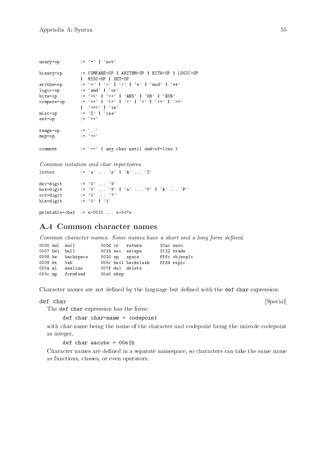<span id="page-60-0"></span>

| unary-op   | $:= ' -'    'not'$                                                      |
|------------|-------------------------------------------------------------------------|
| binary-op  | $:$ = COMPARE-OP   ARITHM-OP   BITW-OP   LOGIC-OP<br>  MISC-OP   SET-OP |
| arithm-op  | $:= ' +' + ' - ' -' + ' /' + ' + ' - ' \mod' + '$                       |
| logic-op   | $:=$ 'and'   'or'                                                       |
| bitw-op    | $:=$ '<<'   '>>'   'AND'   'OR'   'XOR'                                 |
| compare-op | := '=='   '<>'   '<'   '>'   '<='   '>='<br>$\vert$ '<=>' $\vert$ 'in'  |
| misc-op    | $:=$ '%'   'isa'                                                        |
| set-op     | $:=$ $(++)$                                                             |
| range-op   | $\mathbf{r} = \mathbf{r} \cdot \mathbf{r}$                              |
| map-op     | $:=$ $(-)$                                                              |
| comment    | $:=$ $\left\{--\right\}$ { any char until end-of-line }                 |

Common notation and char repertoires.

```
letter := 'a' \dots 'z' | 'A' \dots 'Z'dec-digit := '0' ... '9'<br>hex-digit := '0' ... '9'hex-digit := '0' ... '9' | 'a' ... 'f' | 'A' ... 'F'
oct-digit := '0' ... '7'
bin-digit := '0' ... "<br>bin-digit := '0' | '1'
```
printable-char := u-0021 ... u-007e

# <span id="page-60-1"></span>A.4 Common character names

Common character names. Some names have a short and a long form defined.

|         | 0000 nul null |                   |           | 000d cr return      | 20ac euro |               |
|---------|---------------|-------------------|-----------|---------------------|-----------|---------------|
|         | 0007 bel bell |                   |           | 001b esc escape     |           | 2122 trade    |
|         |               | 0008 bs backspace |           | 0020 sp space       |           | fffc objreplc |
| 0009 ht |               | tab               |           | 005c bsol backslash |           | fffd replc    |
| 000a nl |               | newline           |           | 007f del delete     |           |               |
|         |               | 000c np formfeed  | 00a0 nbsp |                     |           |               |

Character names are not defined by the language but defined with the def char expression:

#### def char [Special]

The def char expression has the form:

def char char-name = codepoint

with char-name being the name of the character and codepoint being the unicode codepoint as integer.

def char aacute = 00e1h

Character names are defined in a separate namespace, so characters can take the same name as functions, classes, or even operators.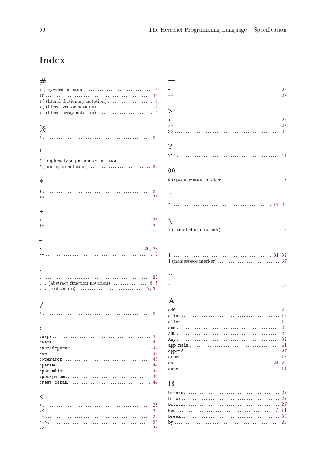# <span id="page-61-0"></span>**Index**

| $^{\#}$                                                                                  |
|------------------------------------------------------------------------------------------|
| $# (keyword notation) \dots \dots \dots \dots \dots \dots \dots \dots \dots \dots \dots$ |
|                                                                                          |
|                                                                                          |
|                                                                                          |
|                                                                                          |
| $\%$                                                                                     |
|                                                                                          |
|                                                                                          |
| ,                                                                                        |
|                                                                                          |
| ' (implicit type parameter notation) 19                                                  |
|                                                                                          |
|                                                                                          |
| ∗                                                                                        |
|                                                                                          |
| 26                                                                                       |
|                                                                                          |
| $\ddot{}$                                                                                |
|                                                                                          |
|                                                                                          |
|                                                                                          |
|                                                                                          |
|                                                                                          |
|                                                                                          |
|                                                                                          |
|                                                                                          |
|                                                                                          |
|                                                                                          |
|                                                                                          |
|                                                                                          |
|                                                                                          |
|                                                                                          |
|                                                                                          |
|                                                                                          |
|                                                                                          |
| 43                                                                                       |
| 43<br>44                                                                                 |
| 43                                                                                       |
| 43                                                                                       |
| 44                                                                                       |
| 44                                                                                       |
| 44<br>44                                                                                 |
|                                                                                          |
|                                                                                          |
| <                                                                                        |
| 28<br><.                                                                                 |
| 26                                                                                       |

|                      | 26      |
|----------------------|---------|
|                      |         |
|                      |         |
|                      |         |
| >                    |         |
|                      |         |
|                      | 28      |
|                      |         |
|                      | 26      |
|                      |         |
| $\gamma$             |         |
|                      |         |
|                      |         |
|                      |         |
|                      |         |
| $^{\textregistered}$ |         |
|                      |         |
|                      |         |
|                      |         |
|                      |         |
|                      |         |
|                      |         |
|                      |         |
|                      |         |
|                      |         |
|                      |         |
|                      |         |
|                      |         |
|                      |         |
|                      |         |
|                      |         |
|                      |         |
|                      |         |
|                      |         |
|                      |         |
|                      |         |
|                      |         |
|                      |         |
|                      |         |
| $\mathbf{A}$         |         |
|                      | 26      |
|                      |         |
|                      |         |
|                      | 16      |
|                      | 26      |
|                      | 26      |
|                      | $^{32}$ |
|                      | 41      |
|                      |         |
|                      |         |
|                      |         |

# $\, {\bf B}$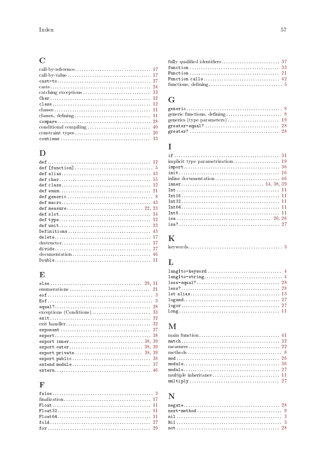# $\mathbf C$

# $\mathbf{D}%$

# $\mathbf E$

# $\overline{\mathbf{F}}$

| Function calls 42 |  |
|-------------------|--|
|                   |  |

# $\overline{G}$

# $\overline{I}$

| $Int8 11$ |  |
|-----------|--|
|           |  |
|           |  |

# $\mathbf K$

# $\mathbf{L}$

| $let \; alias \ldots \ldots \ldots \ldots \ldots \ldots \ldots \ldots \ldots \ldots \ldots \ldots \; 13$ |
|----------------------------------------------------------------------------------------------------------|
|                                                                                                          |
|                                                                                                          |
|                                                                                                          |
|                                                                                                          |

# $\mathbf{M}$

| $multiply \ldots \ldots \ldots \ldots \ldots \ldots \ldots \ldots \ldots \ldots \ldots \ldots 27$ |  |  |  |  |  |  |  |  |  |  |  |  |  |  |  |
|---------------------------------------------------------------------------------------------------|--|--|--|--|--|--|--|--|--|--|--|--|--|--|--|
|                                                                                                   |  |  |  |  |  |  |  |  |  |  |  |  |  |  |  |

# $\overline{\mathbf{N}}$